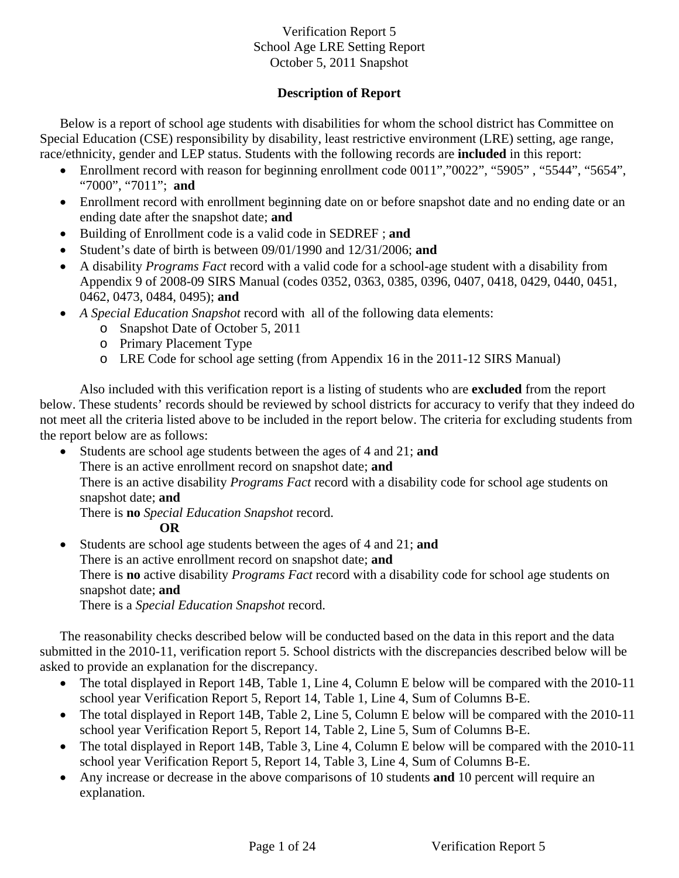### **Description of Report**

Below is a report of school age students with disabilities for whom the school district has Committee on Special Education (CSE) responsibility by disability, least restrictive environment (LRE) setting, age range, race/ethnicity, gender and LEP status. Students with the following records are **included** in this report:

- Enrollment record with reason for beginning enrollment code 0011","0022", "5905", "5544", "5654", "7000", "7011"; **and**
- Enrollment record with enrollment beginning date on or before snapshot date and no ending date or an ending date after the snapshot date; **and**
- Building of Enrollment code is a valid code in SEDREF ; **and**
- Student's date of birth is between 09/01/1990 and 12/31/2006; **and**
- A disability *Programs Fact* record with a valid code for a school-age student with a disability from Appendix 9 of 2008-09 SIRS Manual (codes 0352, 0363, 0385, 0396, 0407, 0418, 0429, 0440, 0451, 0462, 0473, 0484, 0495); **and**
- *A Special Education Snapshot* record with all of the following data elements:
	- o Snapshot Date of October 5, 2011
	- o Primary Placement Type
	- o LRE Code for school age setting (from Appendix 16 in the 2011-12 SIRS Manual)

Also included with this verification report is a listing of students who are **excluded** from the report below. These students' records should be reviewed by school districts for accuracy to verify that they indeed do not meet all the criteria listed above to be included in the report below. The criteria for excluding students from the report below are as follows:

- Students are school age students between the ages of 4 and 21; **and** There is an active enrollment record on snapshot date; **and**  There is an active disability *Programs Fact* record with a disability code for school age students on snapshot date; **and**  There is **no** *Special Education Snapshot* record.
	- **OR**

• Students are school age students between the ages of 4 and 21; **and** There is an active enrollment record on snapshot date; **and** There is **no** active disability *Programs Fact* record with a disability code for school age students on snapshot date; **and**  There is a *Special Education Snapshot* record.

The reasonability checks described below will be conducted based on the data in this report and the data submitted in the 2010-11, verification report 5. School districts with the discrepancies described below will be asked to provide an explanation for the discrepancy.

- The total displayed in Report 14B, Table 1, Line 4, Column E below will be compared with the 2010-11 school year Verification Report 5, Report 14, Table 1, Line 4, Sum of Columns B-E.
- The total displayed in Report 14B, Table 2, Line 5, Column E below will be compared with the 2010-11 school year Verification Report 5, Report 14, Table 2, Line 5, Sum of Columns B-E.
- The total displayed in Report 14B, Table 3, Line 4, Column E below will be compared with the 2010-11 school year Verification Report 5, Report 14, Table 3, Line 4, Sum of Columns B-E.
- Any increase or decrease in the above comparisons of 10 students **and** 10 percent will require an explanation.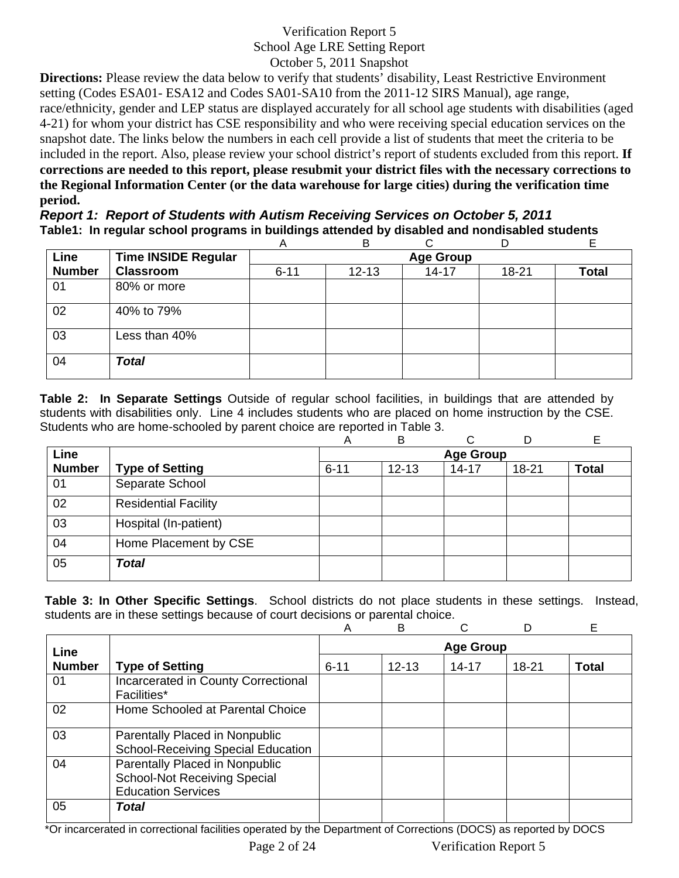**Directions:** Please review the data below to verify that students' disability, Least Restrictive Environment setting (Codes ESA01- ESA12 and Codes SA01-SA10 from the 2011-12 SIRS Manual), age range, race/ethnicity, gender and LEP status are displayed accurately for all school age students with disabilities (aged 4-21) for whom your district has CSE responsibility and who were receiving special education services on the snapshot date. The links below the numbers in each cell provide a list of students that meet the criteria to be included in the report. Also, please review your school district's report of students excluded from this report. **If corrections are needed to this report, please resubmit your district files with the necessary corrections to the Regional Information Center (or the data warehouse for large cities) during the verification time period.**

*Report 1: Report of Students with Autism Receiving Services on October 5, 2011* **Table1: In regular school programs in buildings attended by disabled and nondisabled students** 

|               |                            | Α        | B                |           | D     | E            |  |  |  |
|---------------|----------------------------|----------|------------------|-----------|-------|--------------|--|--|--|
| Line          | <b>Time INSIDE Regular</b> |          | <b>Age Group</b> |           |       |              |  |  |  |
| <b>Number</b> | <b>Classroom</b>           | $6 - 11$ | $12 - 13$        | $14 - 17$ | 18-21 | <b>Total</b> |  |  |  |
| 01            | 80% or more                |          |                  |           |       |              |  |  |  |
| 02            | 40% to 79%                 |          |                  |           |       |              |  |  |  |
| 03            | Less than 40%              |          |                  |           |       |              |  |  |  |
| 04            | <b>Total</b>               |          |                  |           |       |              |  |  |  |

**Table 2: In Separate Settings** Outside of regular school facilities, in buildings that are attended by students with disabilities only. Line 4 includes students who are placed on home instruction by the CSE. Students who are home-schooled by parent choice are reported in Table 3.

|               |                             | Α                | B         | ⌒         |           | E            |  |  |
|---------------|-----------------------------|------------------|-----------|-----------|-----------|--------------|--|--|
| Line          |                             | <b>Age Group</b> |           |           |           |              |  |  |
| <b>Number</b> | <b>Type of Setting</b>      | $6 - 11$         | $12 - 13$ | $14 - 17$ | $18 - 21$ | <b>Total</b> |  |  |
| 01            | Separate School             |                  |           |           |           |              |  |  |
| 02            | <b>Residential Facility</b> |                  |           |           |           |              |  |  |
| 03            | Hospital (In-patient)       |                  |           |           |           |              |  |  |
| 04            | Home Placement by CSE       |                  |           |           |           |              |  |  |
| 05            | <b>Total</b>                |                  |           |           |           |              |  |  |

**Table 3: In Other Specific Settings**. School districts do not place students in these settings. Instead, students are in these settings because of court decisions or parental choice.

|               |                                                                                                    | Α        | B         |                  |       | Е            |
|---------------|----------------------------------------------------------------------------------------------------|----------|-----------|------------------|-------|--------------|
| Line          |                                                                                                    |          |           | <b>Age Group</b> |       |              |
| <b>Number</b> | <b>Type of Setting</b>                                                                             | $6 - 11$ | $12 - 13$ | $14 - 17$        | 18-21 | <b>Total</b> |
| 01            | Incarcerated in County Correctional<br>Facilities*                                                 |          |           |                  |       |              |
| 02            | Home Schooled at Parental Choice                                                                   |          |           |                  |       |              |
| 03            | Parentally Placed in Nonpublic<br><b>School-Receiving Special Education</b>                        |          |           |                  |       |              |
| 04            | Parentally Placed in Nonpublic<br><b>School-Not Receiving Special</b><br><b>Education Services</b> |          |           |                  |       |              |
| 05            | Total                                                                                              |          |           |                  |       |              |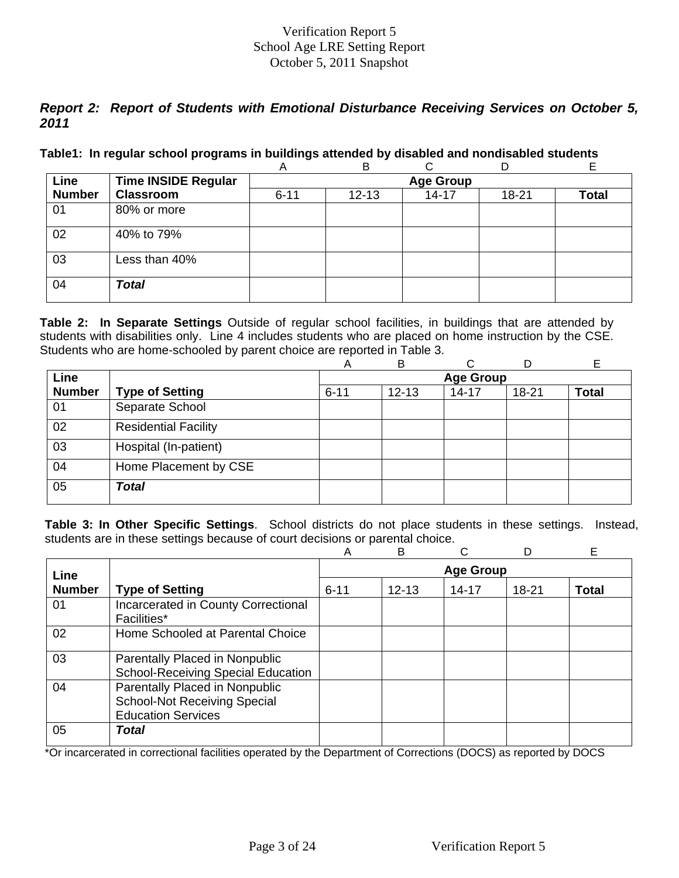# *Report 2: Report of Students with Emotional Disturbance Receiving Services on October 5, 2011*

### **Table1: In regular school programs in buildings attended by disabled and nondisabled students**

|               |                            | A        | B                |           | D         |              |  |  |  |
|---------------|----------------------------|----------|------------------|-----------|-----------|--------------|--|--|--|
| Line          | <b>Time INSIDE Regular</b> |          | <b>Age Group</b> |           |           |              |  |  |  |
| <b>Number</b> | <b>Classroom</b>           | $6 - 11$ | $12 - 13$        | $14 - 17$ | $18 - 21$ | <b>Total</b> |  |  |  |
| 01            | 80% or more                |          |                  |           |           |              |  |  |  |
| 02            | 40% to 79%                 |          |                  |           |           |              |  |  |  |
| 03            | Less than 40%              |          |                  |           |           |              |  |  |  |
| 04            | <b>Total</b>               |          |                  |           |           |              |  |  |  |

**Table 2: In Separate Settings** Outside of regular school facilities, in buildings that are attended by students with disabilities only. Line 4 includes students who are placed on home instruction by the CSE. Students who are home-schooled by parent choice are reported in Table 3.

|               |                             | A        | B                | C         |       | Е            |  |  |  |
|---------------|-----------------------------|----------|------------------|-----------|-------|--------------|--|--|--|
| Line          |                             |          | <b>Age Group</b> |           |       |              |  |  |  |
| <b>Number</b> | <b>Type of Setting</b>      | $6 - 11$ | $12 - 13$        | $14 - 17$ | 18-21 | <b>Total</b> |  |  |  |
| 01            | Separate School             |          |                  |           |       |              |  |  |  |
| 02            | <b>Residential Facility</b> |          |                  |           |       |              |  |  |  |
| 03            | Hospital (In-patient)       |          |                  |           |       |              |  |  |  |
| 04            | Home Placement by CSE       |          |                  |           |       |              |  |  |  |
| 05            | <b>Total</b>                |          |                  |           |       |              |  |  |  |

**Table 3: In Other Specific Settings**. School districts do not place students in these settings. Instead, students are in these settings because of court decisions or parental choice.

|               |                                                                                                    | A        | B         |                  |       | Е            |
|---------------|----------------------------------------------------------------------------------------------------|----------|-----------|------------------|-------|--------------|
| Line          |                                                                                                    |          |           | <b>Age Group</b> |       |              |
| <b>Number</b> | <b>Type of Setting</b>                                                                             | $6 - 11$ | $12 - 13$ | $14 - 17$        | 18-21 | <b>Total</b> |
| 01            | Incarcerated in County Correctional<br>Facilities*                                                 |          |           |                  |       |              |
| 02            | Home Schooled at Parental Choice                                                                   |          |           |                  |       |              |
| 03            | Parentally Placed in Nonpublic<br><b>School-Receiving Special Education</b>                        |          |           |                  |       |              |
| 04            | Parentally Placed in Nonpublic<br><b>School-Not Receiving Special</b><br><b>Education Services</b> |          |           |                  |       |              |
| 05            | Total                                                                                              |          |           |                  |       |              |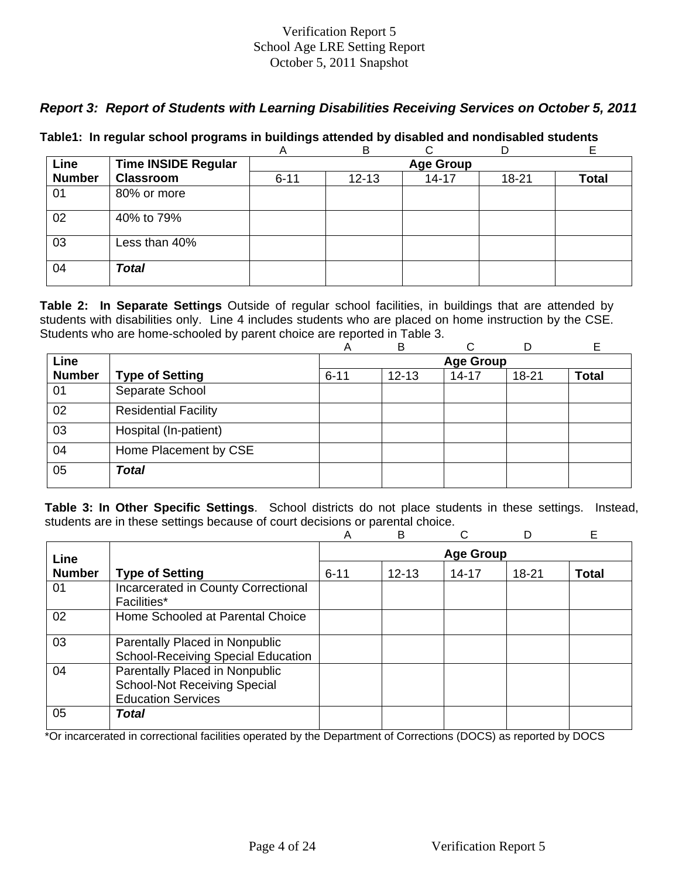# *Report 3: Report of Students with Learning Disabilities Receiving Services on October 5, 2011*

|  |  |  | Table1: In regular school programs in buildings attended by disabled and nondisabled students |  |
|--|--|--|-----------------------------------------------------------------------------------------------|--|
|  |  |  |                                                                                               |  |

|               |                            | A        | в                |           |       | E     |  |  |  |  |
|---------------|----------------------------|----------|------------------|-----------|-------|-------|--|--|--|--|
| Line          | <b>Time INSIDE Regular</b> |          | <b>Age Group</b> |           |       |       |  |  |  |  |
| <b>Number</b> | <b>Classroom</b>           | $6 - 11$ | $12 - 13$        | $14 - 17$ | 18-21 | Total |  |  |  |  |
| 01            | 80% or more                |          |                  |           |       |       |  |  |  |  |
| 02            | 40% to 79%                 |          |                  |           |       |       |  |  |  |  |
| 03            | Less than 40%              |          |                  |           |       |       |  |  |  |  |
| 04            | <b>Total</b>               |          |                  |           |       |       |  |  |  |  |

**Table 2: In Separate Settings** Outside of regular school facilities, in buildings that are attended by students with disabilities only. Line 4 includes students who are placed on home instruction by the CSE. Students who are home-schooled by parent choice are reported in Table 3.

|               |                             | А                | B         | ⌒         |           | E            |  |  |
|---------------|-----------------------------|------------------|-----------|-----------|-----------|--------------|--|--|
| Line          |                             | <b>Age Group</b> |           |           |           |              |  |  |
| <b>Number</b> | <b>Type of Setting</b>      | $6 - 11$         | $12 - 13$ | $14 - 17$ | $18 - 21$ | <b>Total</b> |  |  |
| 01            | Separate School             |                  |           |           |           |              |  |  |
| 02            | <b>Residential Facility</b> |                  |           |           |           |              |  |  |
| 03            | Hospital (In-patient)       |                  |           |           |           |              |  |  |
| 04            | Home Placement by CSE       |                  |           |           |           |              |  |  |
| 05            | <b>Total</b>                |                  |           |           |           |              |  |  |

**Table 3: In Other Specific Settings**. School districts do not place students in these settings. Instead, students are in these settings because of court decisions or parental choice.

|               |                                                                                                    | A                | B         | ⌒         |           | Е            |  |  |
|---------------|----------------------------------------------------------------------------------------------------|------------------|-----------|-----------|-----------|--------------|--|--|
| Line          |                                                                                                    | <b>Age Group</b> |           |           |           |              |  |  |
| <b>Number</b> | <b>Type of Setting</b>                                                                             | $6 - 11$         | $12 - 13$ | $14 - 17$ | $18 - 21$ | <b>Total</b> |  |  |
| 01            | Incarcerated in County Correctional<br>Facilities*                                                 |                  |           |           |           |              |  |  |
| 02            | Home Schooled at Parental Choice                                                                   |                  |           |           |           |              |  |  |
| 03            | Parentally Placed in Nonpublic<br><b>School-Receiving Special Education</b>                        |                  |           |           |           |              |  |  |
| 04            | Parentally Placed in Nonpublic<br><b>School-Not Receiving Special</b><br><b>Education Services</b> |                  |           |           |           |              |  |  |
| 05            | Total                                                                                              |                  |           |           |           |              |  |  |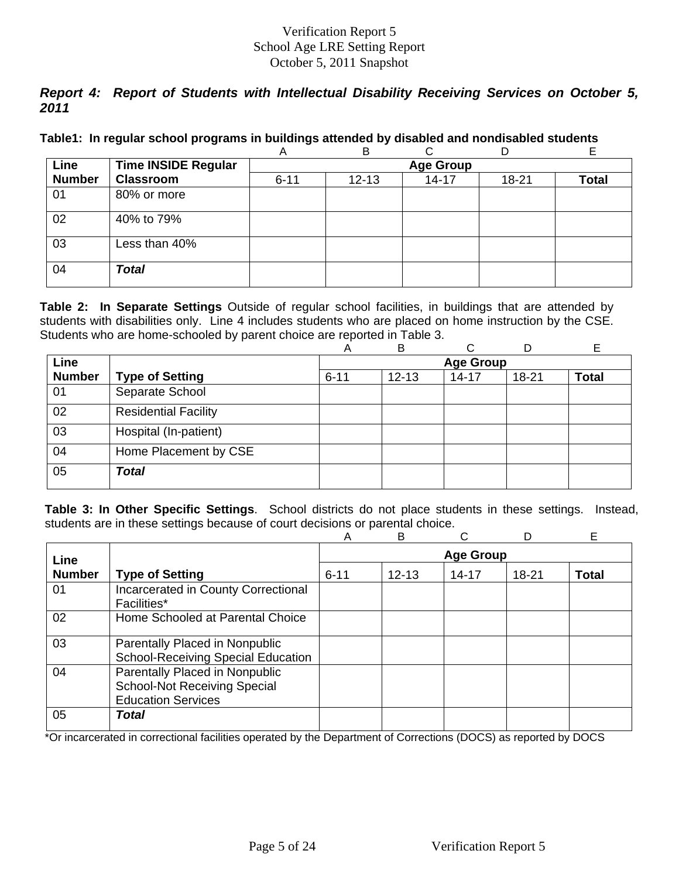# *Report 4: Report of Students with Intellectual Disability Receiving Services on October 5, 2011*

|  |  |  | Table1: In regular school programs in buildings attended by disabled and nondisabled students |  |
|--|--|--|-----------------------------------------------------------------------------------------------|--|
|  |  |  |                                                                                               |  |

|               |                            | A        | в         |                  |       | L.           |
|---------------|----------------------------|----------|-----------|------------------|-------|--------------|
| Line          | <b>Time INSIDE Regular</b> |          |           | <b>Age Group</b> |       |              |
| <b>Number</b> | <b>Classroom</b>           | $6 - 11$ | $12 - 13$ | $14 - 17$        | 18-21 | <b>Total</b> |
| 01            | 80% or more                |          |           |                  |       |              |
| 02            | 40% to 79%                 |          |           |                  |       |              |
| 03            | Less than 40%              |          |           |                  |       |              |
| 04            | <b>Total</b>               |          |           |                  |       |              |

**Table 2: In Separate Settings** Outside of regular school facilities, in buildings that are attended by students with disabilities only. Line 4 includes students who are placed on home instruction by the CSE. Students who are home-schooled by parent choice are reported in Table 3.

|               |                             | Α        | B         | C                |           | E            |
|---------------|-----------------------------|----------|-----------|------------------|-----------|--------------|
| <b>Line</b>   |                             |          |           | <b>Age Group</b> |           |              |
| <b>Number</b> | <b>Type of Setting</b>      | $6 - 11$ | $12 - 13$ | $14 - 17$        | $18 - 21$ | <b>Total</b> |
| 01            | Separate School             |          |           |                  |           |              |
| 02            | <b>Residential Facility</b> |          |           |                  |           |              |
| 03            | Hospital (In-patient)       |          |           |                  |           |              |
| 04            | Home Placement by CSE       |          |           |                  |           |              |
| 05            | <b>Total</b>                |          |           |                  |           |              |

**Table 3: In Other Specific Settings**. School districts do not place students in these settings. Instead, students are in these settings because of court decisions or parental choice.

|               |                                                                                                    | A        | B         |                  |       | Е            |
|---------------|----------------------------------------------------------------------------------------------------|----------|-----------|------------------|-------|--------------|
| Line          |                                                                                                    |          |           | <b>Age Group</b> |       |              |
| <b>Number</b> | <b>Type of Setting</b>                                                                             | $6 - 11$ | $12 - 13$ | $14 - 17$        | 18-21 | <b>Total</b> |
| 01            | Incarcerated in County Correctional<br>Facilities*                                                 |          |           |                  |       |              |
| 02            | Home Schooled at Parental Choice                                                                   |          |           |                  |       |              |
| 03            | Parentally Placed in Nonpublic<br><b>School-Receiving Special Education</b>                        |          |           |                  |       |              |
| 04            | Parentally Placed in Nonpublic<br><b>School-Not Receiving Special</b><br><b>Education Services</b> |          |           |                  |       |              |
| 05            | Total                                                                                              |          |           |                  |       |              |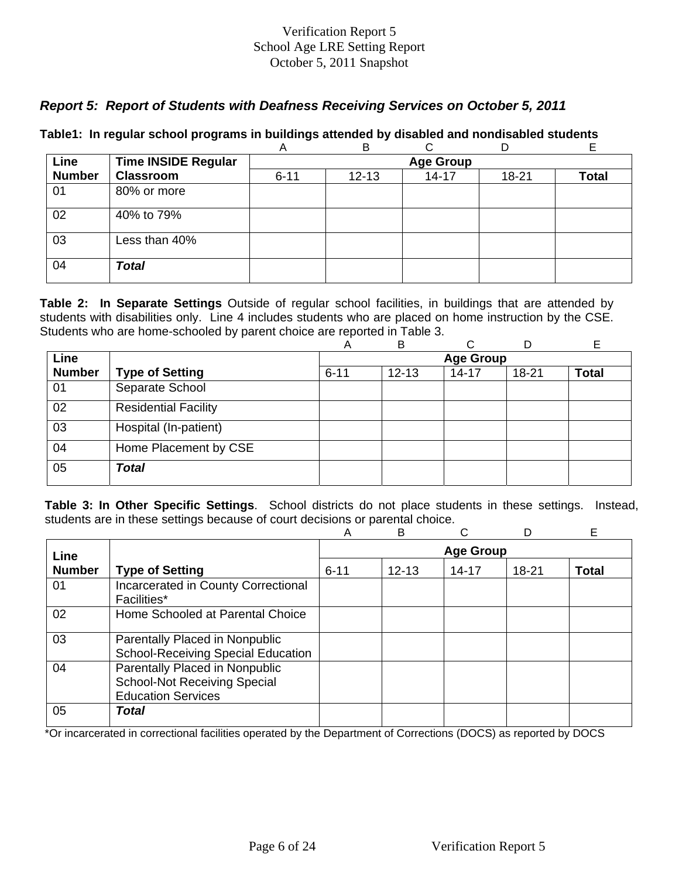## *Report 5: Report of Students with Deafness Receiving Services on October 5, 2011*

|               |                            | Α                | B         |           | D     | E            |  |  |  |
|---------------|----------------------------|------------------|-----------|-----------|-------|--------------|--|--|--|
| Line          | <b>Time INSIDE Regular</b> | <b>Age Group</b> |           |           |       |              |  |  |  |
| <b>Number</b> | <b>Classroom</b>           | $6 - 11$         | $12 - 13$ | $14 - 17$ | 18-21 | <b>Total</b> |  |  |  |
| 01            | 80% or more                |                  |           |           |       |              |  |  |  |
| 02            | 40% to 79%                 |                  |           |           |       |              |  |  |  |
| 03            | Less than 40%              |                  |           |           |       |              |  |  |  |
| 04            | <b>Total</b>               |                  |           |           |       |              |  |  |  |

### **Table1: In regular school programs in buildings attended by disabled and nondisabled students**

**Table 2: In Separate Settings** Outside of regular school facilities, in buildings that are attended by students with disabilities only. Line 4 includes students who are placed on home instruction by the CSE. Students who are home-schooled by parent choice are reported in Table 3.

|               |                             | Α        | B         | ⌒                |           | Е            |
|---------------|-----------------------------|----------|-----------|------------------|-----------|--------------|
| Line          |                             |          |           | <b>Age Group</b> |           |              |
| <b>Number</b> | <b>Type of Setting</b>      | $6 - 11$ | $12 - 13$ | $14 - 17$        | $18 - 21$ | <b>Total</b> |
| 01            | Separate School             |          |           |                  |           |              |
| 02            | <b>Residential Facility</b> |          |           |                  |           |              |
| 03            | Hospital (In-patient)       |          |           |                  |           |              |
| 04            | Home Placement by CSE       |          |           |                  |           |              |
| 05            | <b>Total</b>                |          |           |                  |           |              |

**Table 3: In Other Specific Settings**. School districts do not place students in these settings. Instead, students are in these settings because of court decisions or parental choice.

|               |                                                                                                    | A                | в         |           |       | E     |  |
|---------------|----------------------------------------------------------------------------------------------------|------------------|-----------|-----------|-------|-------|--|
| Line          |                                                                                                    | <b>Age Group</b> |           |           |       |       |  |
| <b>Number</b> | <b>Type of Setting</b>                                                                             | $6 - 11$         | $12 - 13$ | $14 - 17$ | 18-21 | Total |  |
| 01            | Incarcerated in County Correctional<br><b>Facilities*</b>                                          |                  |           |           |       |       |  |
| 02            | Home Schooled at Parental Choice                                                                   |                  |           |           |       |       |  |
| 03            | Parentally Placed in Nonpublic<br><b>School-Receiving Special Education</b>                        |                  |           |           |       |       |  |
| 04            | Parentally Placed in Nonpublic<br><b>School-Not Receiving Special</b><br><b>Education Services</b> |                  |           |           |       |       |  |
| 05            | Total                                                                                              |                  |           |           |       |       |  |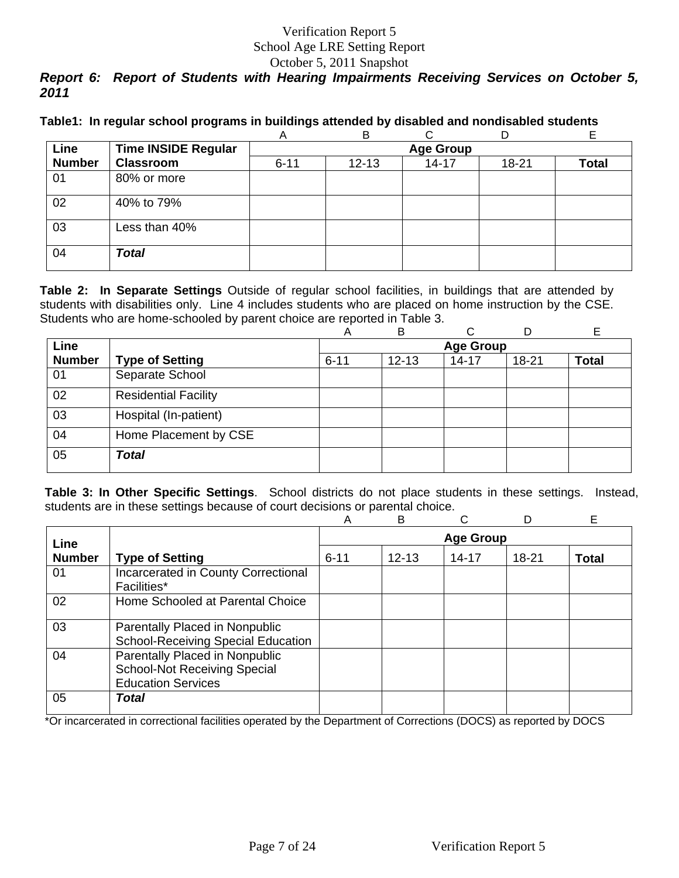# *Report 6: Report of Students with Hearing Impairments Receiving Services on October 5, 2011*

|  |  |  | Table1: In regular school programs in buildings attended by disabled and nondisabled students |
|--|--|--|-----------------------------------------------------------------------------------------------|
|  |  |  |                                                                                               |

|               |                            | A        | B                |           |       |       |  |  |  |  |
|---------------|----------------------------|----------|------------------|-----------|-------|-------|--|--|--|--|
| Line          | <b>Time INSIDE Regular</b> |          | <b>Age Group</b> |           |       |       |  |  |  |  |
| <b>Number</b> | <b>Classroom</b>           | $6 - 11$ | $12 - 13$        | $14 - 17$ | 18-21 | Total |  |  |  |  |
| 01            | 80% or more                |          |                  |           |       |       |  |  |  |  |
| 02            | 40% to 79%                 |          |                  |           |       |       |  |  |  |  |
| 03            | Less than 40%              |          |                  |           |       |       |  |  |  |  |
| 04            | <b>Total</b>               |          |                  |           |       |       |  |  |  |  |

**Table 2: In Separate Settings** Outside of regular school facilities, in buildings that are attended by students with disabilities only. Line 4 includes students who are placed on home instruction by the CSE. Students who are home-schooled by parent choice are reported in Table 3.

|               |                             | Α        | B         | C                |           |              |
|---------------|-----------------------------|----------|-----------|------------------|-----------|--------------|
| Line          |                             |          |           | <b>Age Group</b> |           |              |
| <b>Number</b> | <b>Type of Setting</b>      | $6 - 11$ | $12 - 13$ | $14 - 17$        | $18 - 21$ | <b>Total</b> |
| 01            | Separate School             |          |           |                  |           |              |
| 02            | <b>Residential Facility</b> |          |           |                  |           |              |
| 03            | Hospital (In-patient)       |          |           |                  |           |              |
| 04            | Home Placement by CSE       |          |           |                  |           |              |
| 05            | <b>Total</b>                |          |           |                  |           |              |

**Table 3: In Other Specific Settings**. School districts do not place students in these settings. Instead, students are in these settings because of court decisions or parental choice.

|               |                                                                                                    | A                | B         |           | D     | Е            |  |
|---------------|----------------------------------------------------------------------------------------------------|------------------|-----------|-----------|-------|--------------|--|
| Line          |                                                                                                    | <b>Age Group</b> |           |           |       |              |  |
| <b>Number</b> | <b>Type of Setting</b>                                                                             | $6 - 11$         | $12 - 13$ | $14 - 17$ | 18-21 | <b>Total</b> |  |
| 01            | Incarcerated in County Correctional<br><b>Facilities*</b>                                          |                  |           |           |       |              |  |
| 02            | Home Schooled at Parental Choice                                                                   |                  |           |           |       |              |  |
| 03            | Parentally Placed in Nonpublic<br><b>School-Receiving Special Education</b>                        |                  |           |           |       |              |  |
| 04            | Parentally Placed in Nonpublic<br><b>School-Not Receiving Special</b><br><b>Education Services</b> |                  |           |           |       |              |  |
| 05            | Total                                                                                              |                  |           |           |       |              |  |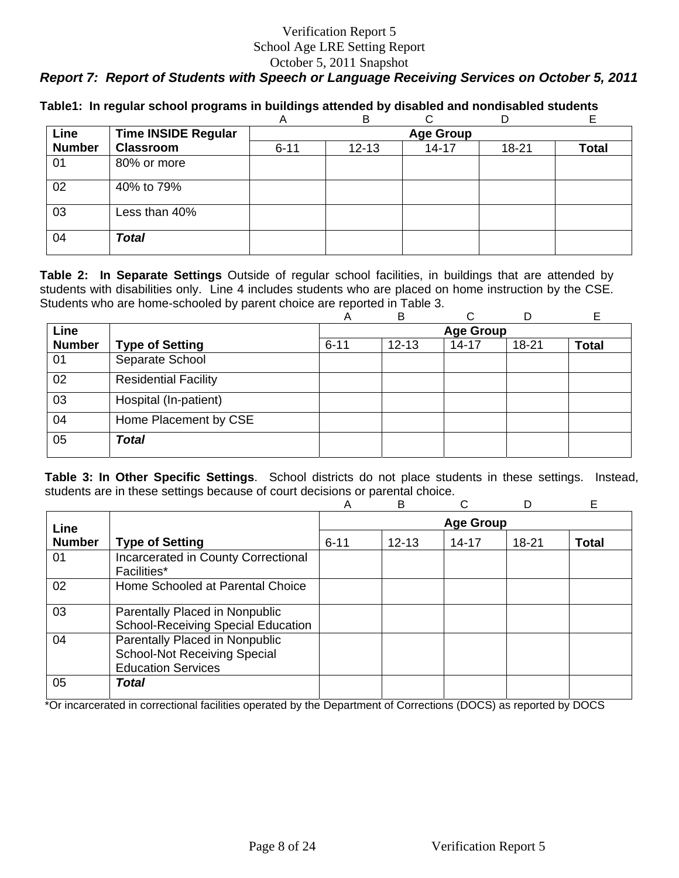# *Report 7: Report of Students with Speech or Language Receiving Services on October 5, 2011*

|               |                            | A                | B         |           | D         |              |  |  |  |
|---------------|----------------------------|------------------|-----------|-----------|-----------|--------------|--|--|--|
| Line          | <b>Time INSIDE Regular</b> | <b>Age Group</b> |           |           |           |              |  |  |  |
| <b>Number</b> | <b>Classroom</b>           | $6 - 11$         | $12 - 13$ | $14 - 17$ | $18 - 21$ | <b>Total</b> |  |  |  |
| 01            | 80% or more                |                  |           |           |           |              |  |  |  |
| 02            | 40% to 79%                 |                  |           |           |           |              |  |  |  |
| 03            | Less than 40%              |                  |           |           |           |              |  |  |  |
| 04            | <b>Total</b>               |                  |           |           |           |              |  |  |  |

**Table1: In regular school programs in buildings attended by disabled and nondisabled students** 

**Table 2: In Separate Settings** Outside of regular school facilities, in buildings that are attended by students with disabilities only. Line 4 includes students who are placed on home instruction by the CSE. Students who are home-schooled by parent choice are reported in Table 3.

|               |                             | A        | B         | C                |           |              |
|---------------|-----------------------------|----------|-----------|------------------|-----------|--------------|
| <b>Line</b>   |                             |          |           | <b>Age Group</b> |           |              |
| <b>Number</b> | <b>Type of Setting</b>      | $6 - 11$ | $12 - 13$ | $14 - 17$        | $18 - 21$ | <b>Total</b> |
| 01            | Separate School             |          |           |                  |           |              |
| 02            | <b>Residential Facility</b> |          |           |                  |           |              |
| 03            | Hospital (In-patient)       |          |           |                  |           |              |
| 04            | Home Placement by CSE       |          |           |                  |           |              |
| 05            | <b>Total</b>                |          |           |                  |           |              |

**Table 3: In Other Specific Settings**. School districts do not place students in these settings. Instead, students are in these settings because of court decisions or parental choice.

|               |                                                                                                    | Α        | в                |           |       | E            |  |  |
|---------------|----------------------------------------------------------------------------------------------------|----------|------------------|-----------|-------|--------------|--|--|
| Line          |                                                                                                    |          | <b>Age Group</b> |           |       |              |  |  |
| <b>Number</b> | <b>Type of Setting</b>                                                                             | $6 - 11$ | $12 - 13$        | $14 - 17$ | 18-21 | <b>Total</b> |  |  |
| 01            | Incarcerated in County Correctional<br>Facilities*                                                 |          |                  |           |       |              |  |  |
| 02            | Home Schooled at Parental Choice                                                                   |          |                  |           |       |              |  |  |
| 03            | Parentally Placed in Nonpublic<br><b>School-Receiving Special Education</b>                        |          |                  |           |       |              |  |  |
| 04            | Parentally Placed in Nonpublic<br><b>School-Not Receiving Special</b><br><b>Education Services</b> |          |                  |           |       |              |  |  |
| 05            | Total                                                                                              |          |                  |           |       |              |  |  |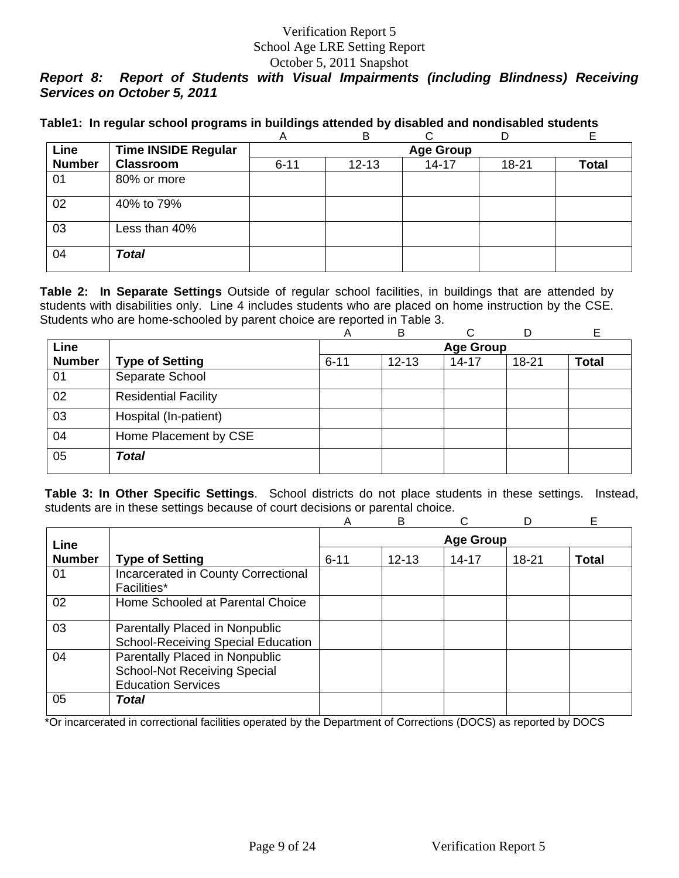#### October 5, 2011 Snapshot

# *Report 8: Report of Students with Visual Impairments (including Blindness) Receiving Services on October 5, 2011*

|               |                            | A        | B         |                  | D     |       |
|---------------|----------------------------|----------|-----------|------------------|-------|-------|
| Line          | <b>Time INSIDE Regular</b> |          |           | <b>Age Group</b> |       |       |
| <b>Number</b> | <b>Classroom</b>           | $6 - 11$ | $12 - 13$ | $14 - 17$        | 18-21 | Total |
| 01            | 80% or more                |          |           |                  |       |       |
| 02            | 40% to 79%                 |          |           |                  |       |       |
| 03            | Less than 40%              |          |           |                  |       |       |
| 04            | <b>Total</b>               |          |           |                  |       |       |

**Table 2: In Separate Settings** Outside of regular school facilities, in buildings that are attended by students with disabilities only. Line 4 includes students who are placed on home instruction by the CSE. Students who are home-schooled by parent choice are reported in Table 3.

|               |                             | Α        | B         |                  |           |              |
|---------------|-----------------------------|----------|-----------|------------------|-----------|--------------|
| <b>Line</b>   |                             |          |           | <b>Age Group</b> |           |              |
| <b>Number</b> | <b>Type of Setting</b>      | $6 - 11$ | $12 - 13$ | $14 - 17$        | $18 - 21$ | <b>Total</b> |
| 01            | Separate School             |          |           |                  |           |              |
| 02            | <b>Residential Facility</b> |          |           |                  |           |              |
| 03            | Hospital (In-patient)       |          |           |                  |           |              |
| 04            | Home Placement by CSE       |          |           |                  |           |              |
| 05            | <b>Total</b>                |          |           |                  |           |              |

**Table 3: In Other Specific Settings**. School districts do not place students in these settings. Instead, students are in these settings because of court decisions or parental choice.

|               |                                                                                                    | А        | B         |           | D         | E            |
|---------------|----------------------------------------------------------------------------------------------------|----------|-----------|-----------|-----------|--------------|
| Line          | <b>Age Group</b>                                                                                   |          |           |           |           |              |
| <b>Number</b> | <b>Type of Setting</b>                                                                             | $6 - 11$ | $12 - 13$ | $14 - 17$ | $18 - 21$ | <b>Total</b> |
| 01            | Incarcerated in County Correctional<br>Facilities*                                                 |          |           |           |           |              |
| 02            | Home Schooled at Parental Choice                                                                   |          |           |           |           |              |
| 03            | Parentally Placed in Nonpublic<br><b>School-Receiving Special Education</b>                        |          |           |           |           |              |
| 04            | Parentally Placed in Nonpublic<br><b>School-Not Receiving Special</b><br><b>Education Services</b> |          |           |           |           |              |
| 05            | Total                                                                                              |          |           |           |           |              |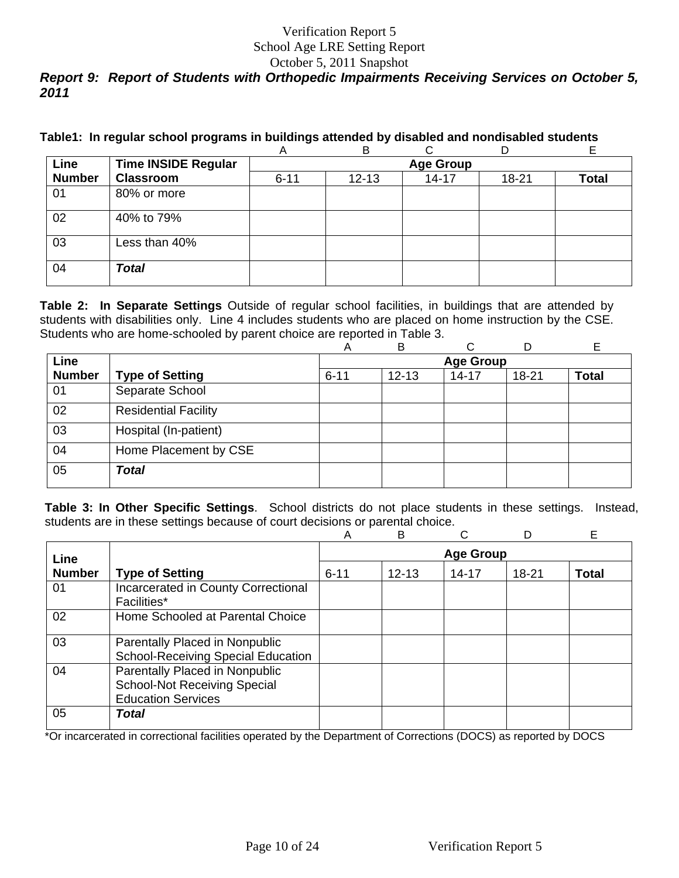### October 5, 2011 Snapshot *Report 9: Report of Students with Orthopedic Impairments Receiving Services on October 5, 2011*

|  |  |  | Table1: In regular school programs in buildings attended by disabled and nondisabled students |  |
|--|--|--|-----------------------------------------------------------------------------------------------|--|
|  |  |  |                                                                                               |  |

|               |                            | $\sqrt{ }$       | ▭         | ◡         | ◡         |       |  |  |  |
|---------------|----------------------------|------------------|-----------|-----------|-----------|-------|--|--|--|
| Line          | <b>Time INSIDE Regular</b> | <b>Age Group</b> |           |           |           |       |  |  |  |
| <b>Number</b> | <b>Classroom</b>           | $6 - 11$         | $12 - 13$ | $14 - 17$ | $18 - 21$ | Total |  |  |  |
| 01            | 80% or more                |                  |           |           |           |       |  |  |  |
| 02            | 40% to 79%                 |                  |           |           |           |       |  |  |  |
| 03            | Less than 40%              |                  |           |           |           |       |  |  |  |
| 04            | <b>Total</b>               |                  |           |           |           |       |  |  |  |

**Table 2: In Separate Settings** Outside of regular school facilities, in buildings that are attended by students with disabilities only. Line 4 includes students who are placed on home instruction by the CSE. Students who are home-schooled by parent choice are reported in Table 3.

|               |                             | Α        | B         | ⌒                |       | E            |
|---------------|-----------------------------|----------|-----------|------------------|-------|--------------|
| Line          |                             |          |           | <b>Age Group</b> |       |              |
| <b>Number</b> | <b>Type of Setting</b>      | $6 - 11$ | $12 - 13$ | $14 - 17$        | 18-21 | <b>Total</b> |
| 01            | Separate School             |          |           |                  |       |              |
| 02            | <b>Residential Facility</b> |          |           |                  |       |              |
| 03            | Hospital (In-patient)       |          |           |                  |       |              |
| 04            | Home Placement by CSE       |          |           |                  |       |              |
| 05            | <b>Total</b>                |          |           |                  |       |              |

**Table 3: In Other Specific Settings**. School districts do not place students in these settings. Instead, students are in these settings because of court decisions or parental choice.

|               |                                                                                                    | A                | B         |       | D     | Е            |  |
|---------------|----------------------------------------------------------------------------------------------------|------------------|-----------|-------|-------|--------------|--|
| Line          |                                                                                                    | <b>Age Group</b> |           |       |       |              |  |
| <b>Number</b> | <b>Type of Setting</b>                                                                             | $6 - 11$         | $12 - 13$ | 14-17 | 18-21 | <b>Total</b> |  |
| 01            | Incarcerated in County Correctional<br>Facilities*                                                 |                  |           |       |       |              |  |
| 02            | Home Schooled at Parental Choice                                                                   |                  |           |       |       |              |  |
| 03            | Parentally Placed in Nonpublic<br>School-Receiving Special Education                               |                  |           |       |       |              |  |
| 04            | Parentally Placed in Nonpublic<br><b>School-Not Receiving Special</b><br><b>Education Services</b> |                  |           |       |       |              |  |
| 05            | Total                                                                                              |                  |           |       |       |              |  |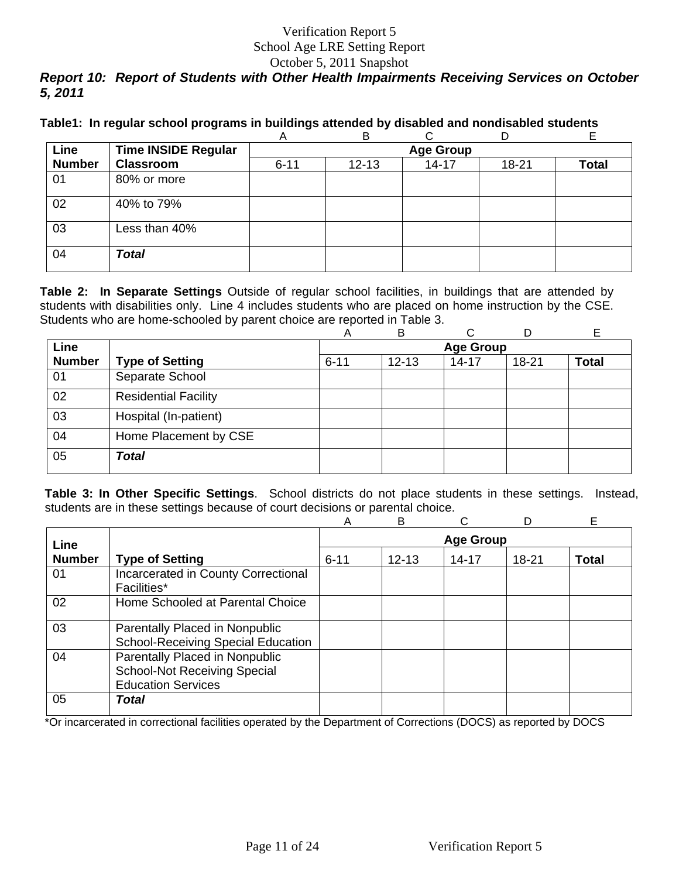#### October 5, 2011 Snapshot *Report 10: Report of Students with Other Health Impairments Receiving Services on October 5, 2011*

|  |  |  |  |  | Table1: In regular school programs in buildings attended by disabled and nondisabled students |
|--|--|--|--|--|-----------------------------------------------------------------------------------------------|
|--|--|--|--|--|-----------------------------------------------------------------------------------------------|

|               |                            | A        | B         |                  | D     |       |
|---------------|----------------------------|----------|-----------|------------------|-------|-------|
| Line          | <b>Time INSIDE Regular</b> |          |           | <b>Age Group</b> |       |       |
| <b>Number</b> | <b>Classroom</b>           | $6 - 11$ | $12 - 13$ | $14 - 17$        | 18-21 | Total |
| 01            | 80% or more                |          |           |                  |       |       |
| 02            | 40% to 79%                 |          |           |                  |       |       |
| 03            | Less than 40%              |          |           |                  |       |       |
| 04            | <b>Total</b>               |          |           |                  |       |       |

**Table 2: In Separate Settings** Outside of regular school facilities, in buildings that are attended by students with disabilities only. Line 4 includes students who are placed on home instruction by the CSE. Students who are home-schooled by parent choice are reported in Table 3.

|               |                             | Α                | B         | C         |           |              |  |
|---------------|-----------------------------|------------------|-----------|-----------|-----------|--------------|--|
| Line          |                             | <b>Age Group</b> |           |           |           |              |  |
| <b>Number</b> | <b>Type of Setting</b>      | $6 - 11$         | $12 - 13$ | $14 - 17$ | $18 - 21$ | <b>Total</b> |  |
| 01            | Separate School             |                  |           |           |           |              |  |
| 02            | <b>Residential Facility</b> |                  |           |           |           |              |  |
| 03            | Hospital (In-patient)       |                  |           |           |           |              |  |
| 04            | Home Placement by CSE       |                  |           |           |           |              |  |
| 05            | <b>Total</b>                |                  |           |           |           |              |  |

**Table 3: In Other Specific Settings**. School districts do not place students in these settings. Instead, students are in these settings because of court decisions or parental choice.

|               |                                                                                                    | А        | B         |           | D         | E            |
|---------------|----------------------------------------------------------------------------------------------------|----------|-----------|-----------|-----------|--------------|
| Line          | <b>Age Group</b>                                                                                   |          |           |           |           |              |
| <b>Number</b> | <b>Type of Setting</b>                                                                             | $6 - 11$ | $12 - 13$ | $14 - 17$ | $18 - 21$ | <b>Total</b> |
| 01            | Incarcerated in County Correctional<br>Facilities*                                                 |          |           |           |           |              |
| 02            | Home Schooled at Parental Choice                                                                   |          |           |           |           |              |
| 03            | Parentally Placed in Nonpublic<br><b>School-Receiving Special Education</b>                        |          |           |           |           |              |
| 04            | Parentally Placed in Nonpublic<br><b>School-Not Receiving Special</b><br><b>Education Services</b> |          |           |           |           |              |
| 05            | Total                                                                                              |          |           |           |           |              |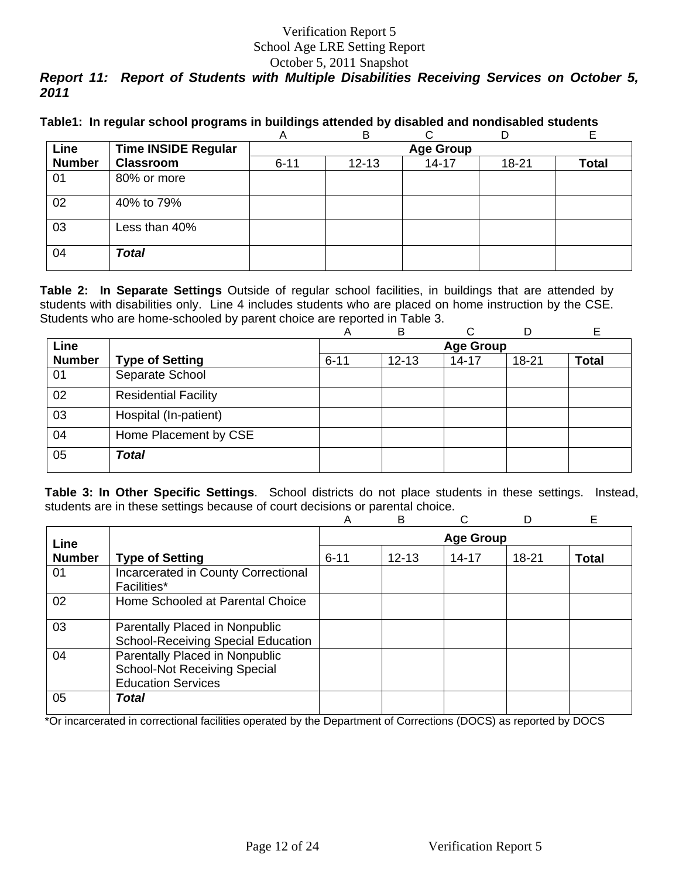#### October 5, 2011 Snapshot

# *Report 11: Report of Students with Multiple Disabilities Receiving Services on October 5, 2011*

|  |  | Table1: In regular school programs in buildings attended by disabled and nondisabled students |
|--|--|-----------------------------------------------------------------------------------------------|
|  |  |                                                                                               |

|               |                            | A        | B         |                  |       |       |
|---------------|----------------------------|----------|-----------|------------------|-------|-------|
| Line          | <b>Time INSIDE Regular</b> |          |           | <b>Age Group</b> |       |       |
| <b>Number</b> | <b>Classroom</b>           | $6 - 11$ | $12 - 13$ | $14 - 17$        | 18-21 | Total |
| 01            | 80% or more                |          |           |                  |       |       |
| 02            | 40% to 79%                 |          |           |                  |       |       |
| 03            | Less than 40%              |          |           |                  |       |       |
| 04            | <b>Total</b>               |          |           |                  |       |       |

**Table 2: In Separate Settings** Outside of regular school facilities, in buildings that are attended by students with disabilities only. Line 4 includes students who are placed on home instruction by the CSE. Students who are home-schooled by parent choice are reported in Table 3.

|               |                             | Α        | в         | C                |           |              |
|---------------|-----------------------------|----------|-----------|------------------|-----------|--------------|
| Line          |                             |          |           | <b>Age Group</b> |           |              |
| <b>Number</b> | <b>Type of Setting</b>      | $6 - 11$ | $12 - 13$ | $14 - 17$        | $18 - 21$ | <b>Total</b> |
| 01            | Separate School             |          |           |                  |           |              |
| 02            | <b>Residential Facility</b> |          |           |                  |           |              |
| 03            | Hospital (In-patient)       |          |           |                  |           |              |
| 04            | Home Placement by CSE       |          |           |                  |           |              |
| 05            | Total                       |          |           |                  |           |              |

**Table 3: In Other Specific Settings**. School districts do not place students in these settings. Instead, students are in these settings because of court decisions or parental choice.

|               |                                                                                                    | Α        | B         |                  | D     | Е            |
|---------------|----------------------------------------------------------------------------------------------------|----------|-----------|------------------|-------|--------------|
| Line          |                                                                                                    |          |           | <b>Age Group</b> |       |              |
| <b>Number</b> | <b>Type of Setting</b>                                                                             | $6 - 11$ | $12 - 13$ | $14 - 17$        | 18-21 | <b>Total</b> |
| 01            | Incarcerated in County Correctional<br><b>Facilities*</b>                                          |          |           |                  |       |              |
| 02            | Home Schooled at Parental Choice                                                                   |          |           |                  |       |              |
| 03            | Parentally Placed in Nonpublic<br><b>School-Receiving Special Education</b>                        |          |           |                  |       |              |
| 04            | Parentally Placed in Nonpublic<br><b>School-Not Receiving Special</b><br><b>Education Services</b> |          |           |                  |       |              |
| 05            | Total                                                                                              |          |           |                  |       |              |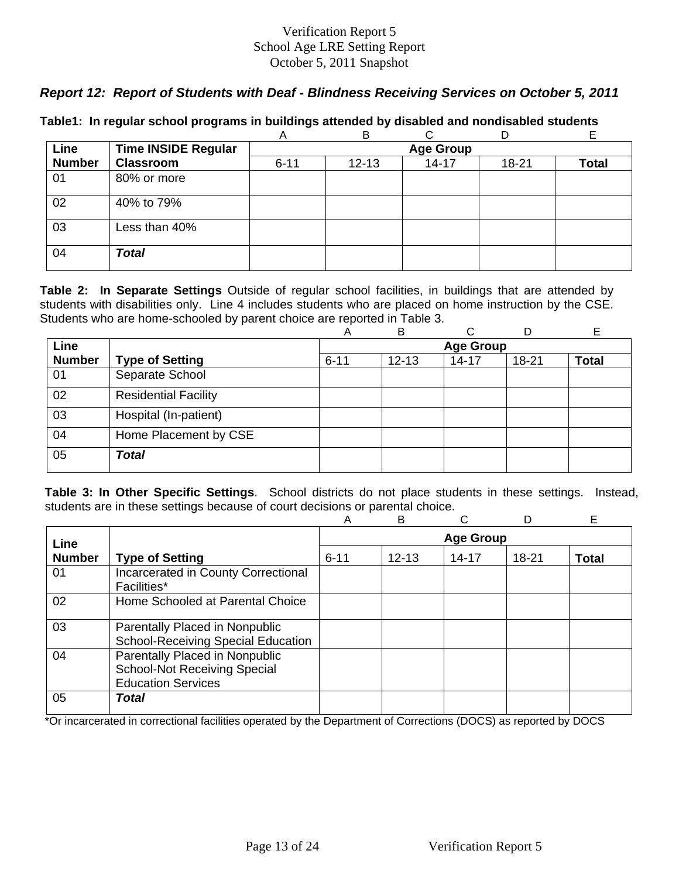## *Report 12: Report of Students with Deaf - Blindness Receiving Services on October 5, 2011*

|               |                            | A        | B         |                  |       |       |
|---------------|----------------------------|----------|-----------|------------------|-------|-------|
| Line          | <b>Time INSIDE Regular</b> |          |           | <b>Age Group</b> |       |       |
| <b>Number</b> | <b>Classroom</b>           | $6 - 11$ | $12 - 13$ | $14 - 17$        | 18-21 | Total |
| 01            | 80% or more                |          |           |                  |       |       |
| 02            | 40% to 79%                 |          |           |                  |       |       |
| 03            | Less than 40%              |          |           |                  |       |       |
| 04            | <b>Total</b>               |          |           |                  |       |       |

### **Table1: In regular school programs in buildings attended by disabled and nondisabled students**

**Table 2: In Separate Settings** Outside of regular school facilities, in buildings that are attended by students with disabilities only. Line 4 includes students who are placed on home instruction by the CSE. Students who are home-schooled by parent choice are reported in Table 3.

|               |                             | A        | B         |                  |           | E            |
|---------------|-----------------------------|----------|-----------|------------------|-----------|--------------|
| Line          |                             |          |           | <b>Age Group</b> |           |              |
| <b>Number</b> | <b>Type of Setting</b>      | $6 - 11$ | $12 - 13$ | $14 - 17$        | $18 - 21$ | <b>Total</b> |
| 01            | Separate School             |          |           |                  |           |              |
| 02            | <b>Residential Facility</b> |          |           |                  |           |              |
| 03            | Hospital (In-patient)       |          |           |                  |           |              |
| 04            | Home Placement by CSE       |          |           |                  |           |              |
| 05            | <b>Total</b>                |          |           |                  |           |              |

**Table 3: In Other Specific Settings**. School districts do not place students in these settings. Instead, students are in these settings because of court decisions or parental choice.

|               |                                                                                                    | A        | B         |                  | D         | Е            |
|---------------|----------------------------------------------------------------------------------------------------|----------|-----------|------------------|-----------|--------------|
| Line          |                                                                                                    |          |           | <b>Age Group</b> |           |              |
| <b>Number</b> | <b>Type of Setting</b>                                                                             | $6 - 11$ | $12 - 13$ | $14 - 17$        | $18 - 21$ | <b>Total</b> |
| 01            | Incarcerated in County Correctional<br><b>Facilities*</b>                                          |          |           |                  |           |              |
| 02            | Home Schooled at Parental Choice                                                                   |          |           |                  |           |              |
| 03            | Parentally Placed in Nonpublic<br><b>School-Receiving Special Education</b>                        |          |           |                  |           |              |
| 04            | Parentally Placed in Nonpublic<br><b>School-Not Receiving Special</b><br><b>Education Services</b> |          |           |                  |           |              |
| 05            | Total                                                                                              |          |           |                  |           |              |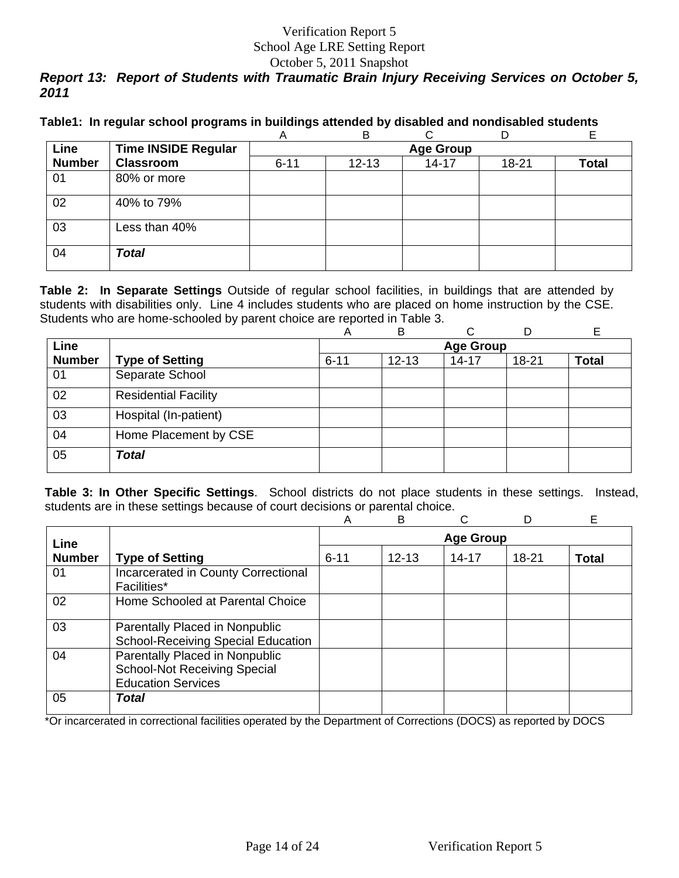# *Report 13: Report of Students with Traumatic Brain Injury Receiving Services on October 5, 2011*

|  |  |  | Table1: In regular school programs in buildings attended by disabled and nondisabled students |
|--|--|--|-----------------------------------------------------------------------------------------------|
|  |  |  |                                                                                               |

|               |                            | A        | B         |                  |       |       |
|---------------|----------------------------|----------|-----------|------------------|-------|-------|
| Line          | <b>Time INSIDE Regular</b> |          |           | <b>Age Group</b> |       |       |
| <b>Number</b> | <b>Classroom</b>           | $6 - 11$ | $12 - 13$ | $14 - 17$        | 18-21 | Total |
| 01            | 80% or more                |          |           |                  |       |       |
| 02            | 40% to 79%                 |          |           |                  |       |       |
| 03            | Less than 40%              |          |           |                  |       |       |
| 04            | <b>Total</b>               |          |           |                  |       |       |

**Table 2: In Separate Settings** Outside of regular school facilities, in buildings that are attended by students with disabilities only. Line 4 includes students who are placed on home instruction by the CSE. Students who are home-schooled by parent choice are reported in Table 3.

|               |                             | Α                | B         | C         |           |              |  |  |  |  |  |  |
|---------------|-----------------------------|------------------|-----------|-----------|-----------|--------------|--|--|--|--|--|--|
| Line          |                             | <b>Age Group</b> |           |           |           |              |  |  |  |  |  |  |
| <b>Number</b> | <b>Type of Setting</b>      | $6 - 11$         | $12 - 13$ | $14 - 17$ | $18 - 21$ | <b>Total</b> |  |  |  |  |  |  |
| 01            | Separate School             |                  |           |           |           |              |  |  |  |  |  |  |
| 02            | <b>Residential Facility</b> |                  |           |           |           |              |  |  |  |  |  |  |
| 03            | Hospital (In-patient)       |                  |           |           |           |              |  |  |  |  |  |  |
| 04            | Home Placement by CSE       |                  |           |           |           |              |  |  |  |  |  |  |
| 05            | <b>Total</b>                |                  |           |           |           |              |  |  |  |  |  |  |

**Table 3: In Other Specific Settings**. School districts do not place students in these settings. Instead, students are in these settings because of court decisions or parental choice.

|               |                                                                                                    | Α        | B         |                  | D     | Е            |
|---------------|----------------------------------------------------------------------------------------------------|----------|-----------|------------------|-------|--------------|
| Line          |                                                                                                    |          |           | <b>Age Group</b> |       |              |
| <b>Number</b> | <b>Type of Setting</b>                                                                             | $6 - 11$ | $12 - 13$ | $14 - 17$        | 18-21 | <b>Total</b> |
| 01            | Incarcerated in County Correctional<br><b>Facilities*</b>                                          |          |           |                  |       |              |
| 02            | Home Schooled at Parental Choice                                                                   |          |           |                  |       |              |
| 03            | Parentally Placed in Nonpublic<br><b>School-Receiving Special Education</b>                        |          |           |                  |       |              |
| 04            | Parentally Placed in Nonpublic<br><b>School-Not Receiving Special</b><br><b>Education Services</b> |          |           |                  |       |              |
| 05            | Total                                                                                              |          |           |                  |       |              |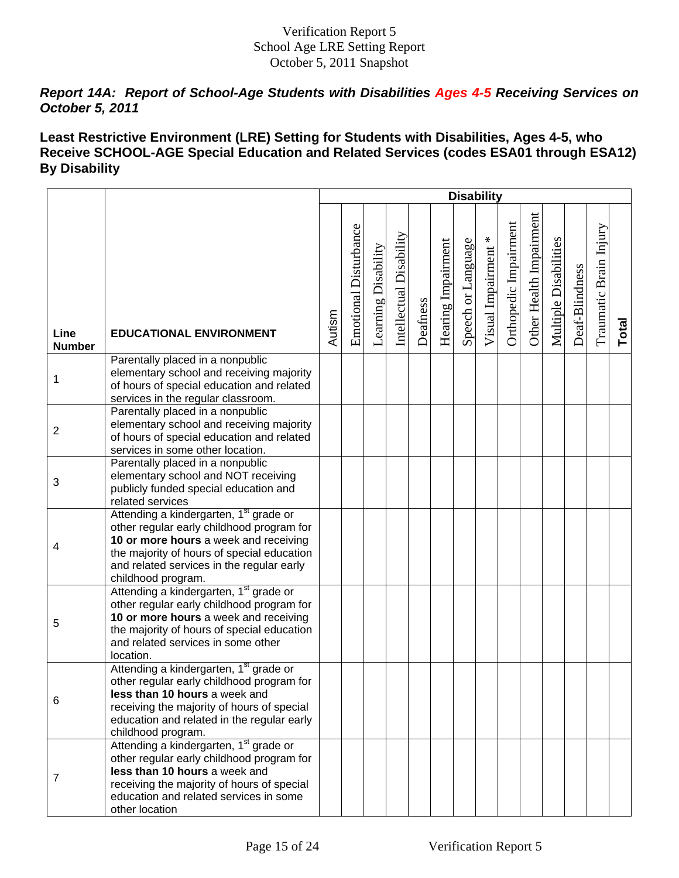## *Report 14A: Report of School-Age Students with Disabilities Ages 4-5 Receiving Services on October 5, 2011*

## **Least Restrictive Environment (LRE) Setting for Students with Disabilities, Ages 4-5, who Receive SCHOOL-AGE Special Education and Related Services (codes ESA01 through ESA12) By Disability**

|                       |                                                                                                                                                                                                                                                           |        |                       |                     |                         |          |                    |                    | <b>Disability</b>   |                       |                         |                       |                |                        |       |
|-----------------------|-----------------------------------------------------------------------------------------------------------------------------------------------------------------------------------------------------------------------------------------------------------|--------|-----------------------|---------------------|-------------------------|----------|--------------------|--------------------|---------------------|-----------------------|-------------------------|-----------------------|----------------|------------------------|-------|
| Line<br><b>Number</b> | <b>EDUCATIONAL ENVIRONMENT</b>                                                                                                                                                                                                                            | Autism | Emotional Disturbance | Learning Disability | Intellectual Disability | Deafness | Hearing Impairment | Speech or Language | Visual Impairment * | Orthopedic Impairment | Other Health Impairment | Multiple Disabilities | Deaf-Blindness | Traumatic Brain Injury | Total |
| 1                     | Parentally placed in a nonpublic<br>elementary school and receiving majority<br>of hours of special education and related<br>services in the regular classroom.                                                                                           |        |                       |                     |                         |          |                    |                    |                     |                       |                         |                       |                |                        |       |
| $\overline{2}$        | Parentally placed in a nonpublic<br>elementary school and receiving majority<br>of hours of special education and related<br>services in some other location.                                                                                             |        |                       |                     |                         |          |                    |                    |                     |                       |                         |                       |                |                        |       |
| 3                     | Parentally placed in a nonpublic<br>elementary school and NOT receiving<br>publicly funded special education and<br>related services                                                                                                                      |        |                       |                     |                         |          |                    |                    |                     |                       |                         |                       |                |                        |       |
| 4                     | Attending a kindergarten, 1 <sup>st</sup> grade or<br>other regular early childhood program for<br>10 or more hours a week and receiving<br>the majority of hours of special education<br>and related services in the regular early<br>childhood program. |        |                       |                     |                         |          |                    |                    |                     |                       |                         |                       |                |                        |       |
| 5                     | Attending a kindergarten, 1 <sup>st</sup> grade or<br>other regular early childhood program for<br>10 or more hours a week and receiving<br>the majority of hours of special education<br>and related services in some other<br>location.                 |        |                       |                     |                         |          |                    |                    |                     |                       |                         |                       |                |                        |       |
| 6                     | Attending a kindergarten, 1 <sup>st</sup> grade or<br>other regular early childhood program for<br>less than 10 hours a week and<br>receiving the majority of hours of special<br>education and related in the regular early<br>childhood program.        |        |                       |                     |                         |          |                    |                    |                     |                       |                         |                       |                |                        |       |
| 7                     | Attending a kindergarten, 1 <sup>st</sup> grade or<br>other regular early childhood program for<br>less than 10 hours a week and<br>receiving the majority of hours of special<br>education and related services in some<br>other location                |        |                       |                     |                         |          |                    |                    |                     |                       |                         |                       |                |                        |       |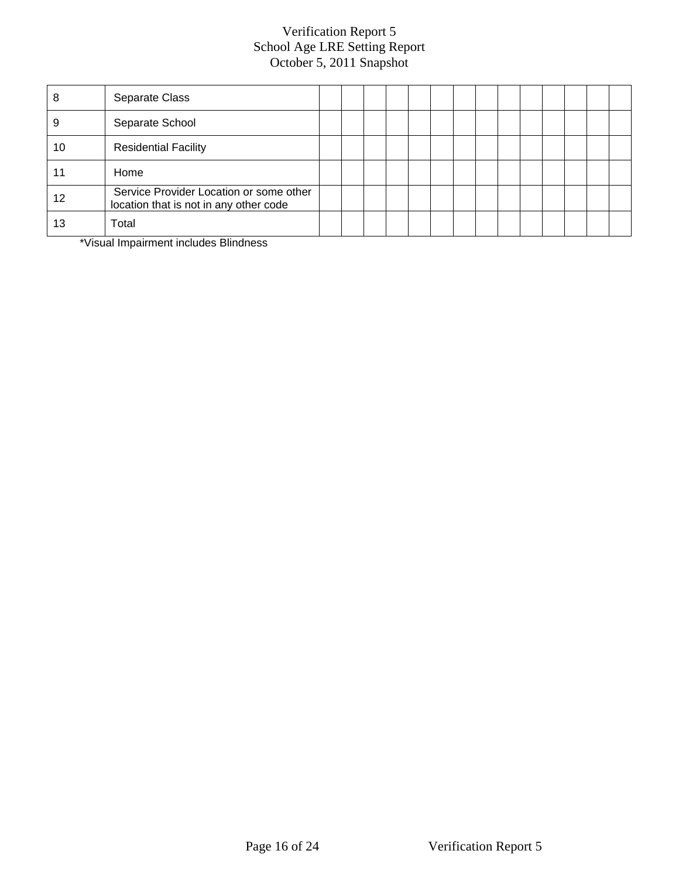| 8  | Separate Class                                                                    |  |  |  |  |  |  |  |
|----|-----------------------------------------------------------------------------------|--|--|--|--|--|--|--|
|    | Separate School                                                                   |  |  |  |  |  |  |  |
| 10 | <b>Residential Facility</b>                                                       |  |  |  |  |  |  |  |
|    | Home                                                                              |  |  |  |  |  |  |  |
| 12 | Service Provider Location or some other<br>location that is not in any other code |  |  |  |  |  |  |  |
| 13 | Total                                                                             |  |  |  |  |  |  |  |

\*Visual Impairment includes Blindness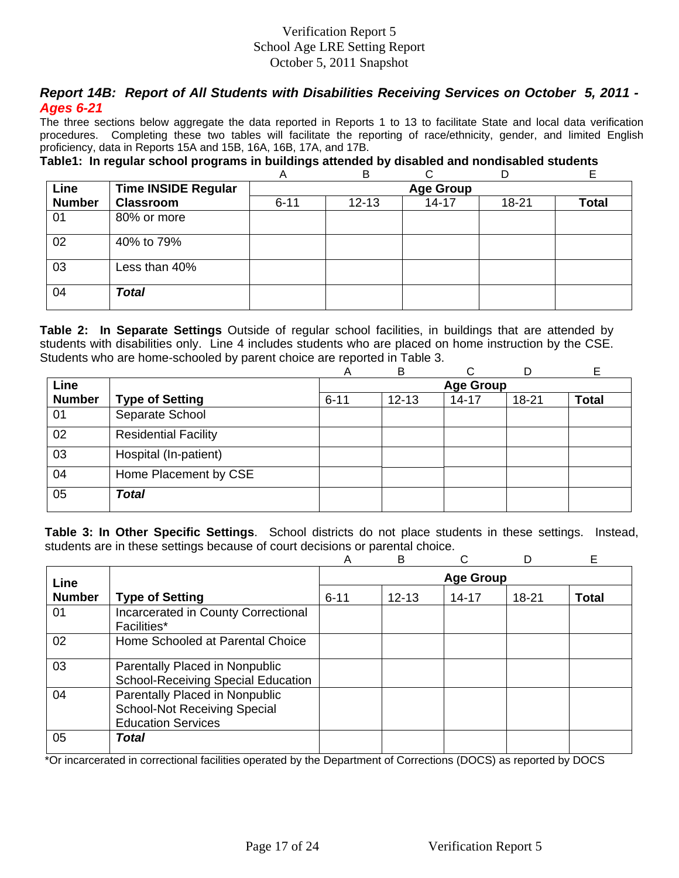## *Report 14B: Report of All Students with Disabilities Receiving Services on October 5, 2011 - Ages 6-21*

The three sections below aggregate the data reported in Reports 1 to 13 to facilitate State and local data verification procedures. Completing these two tables will facilitate the reporting of race/ethnicity, gender, and limited English proficiency, data in Reports 15A and 15B, 16A, 16B, 17A, and 17B.

## **Table1: In regular school programs in buildings attended by disabled and nondisabled students**

|               |                            | Α        | в         |                  | D     | E            |
|---------------|----------------------------|----------|-----------|------------------|-------|--------------|
| Line          | <b>Time INSIDE Regular</b> |          |           | <b>Age Group</b> |       |              |
| <b>Number</b> | <b>Classroom</b>           | $6 - 11$ | $12 - 13$ | $14 - 17$        | 18-21 | <b>Total</b> |
| 01            | 80% or more                |          |           |                  |       |              |
| 02            | 40% to 79%                 |          |           |                  |       |              |
| 03            | Less than 40%              |          |           |                  |       |              |
| 04            | <b>Total</b>               |          |           |                  |       |              |

**Table 2: In Separate Settings** Outside of regular school facilities, in buildings that are attended by students with disabilities only. Line 4 includes students who are placed on home instruction by the CSE. Students who are home-schooled by parent choice are reported in Table 3.

|               |                             | А        | B         |                  |           |              |
|---------------|-----------------------------|----------|-----------|------------------|-----------|--------------|
| Line          |                             |          |           | <b>Age Group</b> |           |              |
| <b>Number</b> | <b>Type of Setting</b>      | $6 - 11$ | $12 - 13$ | $14 - 17$        | $18 - 21$ | <b>Total</b> |
| 01            | Separate School             |          |           |                  |           |              |
| 02            | <b>Residential Facility</b> |          |           |                  |           |              |
| 03            | Hospital (In-patient)       |          |           |                  |           |              |
| 04            | Home Placement by CSE       |          |           |                  |           |              |
| 05            | <b>Total</b>                |          |           |                  |           |              |

**Table 3: In Other Specific Settings**. School districts do not place students in these settings. Instead, students are in these settings because of court decisions or parental choice.

|               |                                                                                                    | A                | B         |           |       | Е            |  |  |  |  |  |  |
|---------------|----------------------------------------------------------------------------------------------------|------------------|-----------|-----------|-------|--------------|--|--|--|--|--|--|
| Line          |                                                                                                    | <b>Age Group</b> |           |           |       |              |  |  |  |  |  |  |
| <b>Number</b> | <b>Type of Setting</b>                                                                             | $6 - 11$         | $12 - 13$ | $14 - 17$ | 18-21 | <b>Total</b> |  |  |  |  |  |  |
| 01            | Incarcerated in County Correctional<br>Facilities*                                                 |                  |           |           |       |              |  |  |  |  |  |  |
| 02            | Home Schooled at Parental Choice                                                                   |                  |           |           |       |              |  |  |  |  |  |  |
| 03            | Parentally Placed in Nonpublic<br><b>School-Receiving Special Education</b>                        |                  |           |           |       |              |  |  |  |  |  |  |
| 04            | Parentally Placed in Nonpublic<br><b>School-Not Receiving Special</b><br><b>Education Services</b> |                  |           |           |       |              |  |  |  |  |  |  |
| 05            | Total                                                                                              |                  |           |           |       |              |  |  |  |  |  |  |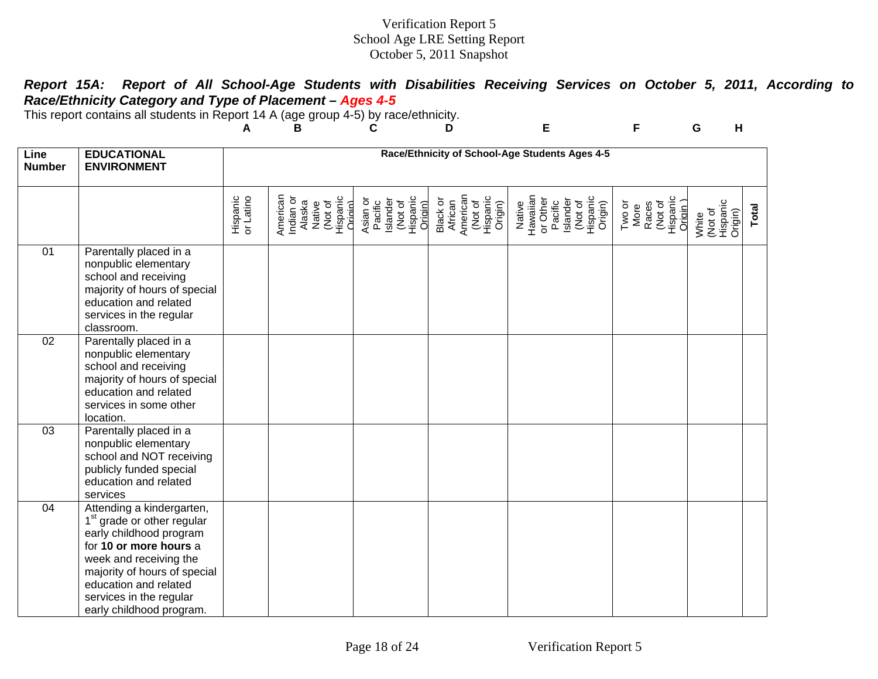| Report 15A: Report of All School-Age Students with Disabilities Receiving Services on October 5, 2011, According to |  |  |  |  |  |  |
|---------------------------------------------------------------------------------------------------------------------|--|--|--|--|--|--|
| Race/Ethnicity Category and Type of Placement - Ages 4-5                                                            |  |  |  |  |  |  |

This report contains all students in Report 14 A (age group 4-5) by race/ethnicity.

|                       |                                                                                                                                                                                                                                                                    | A                     | В                                                                           | С                                                                 | D                                                                 | Е                                                                                       | F                                                          | G<br>н                                  |       |  |  |
|-----------------------|--------------------------------------------------------------------------------------------------------------------------------------------------------------------------------------------------------------------------------------------------------------------|-----------------------|-----------------------------------------------------------------------------|-------------------------------------------------------------------|-------------------------------------------------------------------|-----------------------------------------------------------------------------------------|------------------------------------------------------------|-----------------------------------------|-------|--|--|
| Line<br><b>Number</b> | <b>EDUCATIONAL</b><br><b>ENVIRONMENT</b>                                                                                                                                                                                                                           |                       | Race/Ethnicity of School-Age Students Ages 4-5                              |                                                                   |                                                                   |                                                                                         |                                                            |                                         |       |  |  |
|                       |                                                                                                                                                                                                                                                                    | Hispanic<br>or Latino | American<br>Hispanic<br>Origin)<br>Indian or<br>Alaska<br>Native<br>(Not of | Pacific<br>Islander<br>(Not of<br>Hispanic<br>Asian or<br>Origin) | American<br>(Not of<br>Hispanic<br>Origin)<br>Black or<br>African | Hawaiian<br>or Other<br>Pacific<br>Islander<br>(Not of<br>Hispanic<br>Origin)<br>Native | Hispanic<br>Oridin )<br>(Not of<br>Races<br>Two or<br>More | Hispanic<br>Origin)<br>(Not of<br>White | Total |  |  |
| 01                    | Parentally placed in a<br>nonpublic elementary<br>school and receiving<br>majority of hours of special<br>education and related<br>services in the regular<br>classroom.                                                                                           |                       |                                                                             |                                                                   |                                                                   |                                                                                         |                                                            |                                         |       |  |  |
| 02                    | Parentally placed in a<br>nonpublic elementary<br>school and receiving<br>majority of hours of special<br>education and related<br>services in some other<br>location.                                                                                             |                       |                                                                             |                                                                   |                                                                   |                                                                                         |                                                            |                                         |       |  |  |
| 03                    | Parentally placed in a<br>nonpublic elementary<br>school and NOT receiving<br>publicly funded special<br>education and related<br>services                                                                                                                         |                       |                                                                             |                                                                   |                                                                   |                                                                                         |                                                            |                                         |       |  |  |
| 04                    | Attending a kindergarten,<br>1 <sup>st</sup> grade or other regular<br>early childhood program<br>for 10 or more hours a<br>week and receiving the<br>majority of hours of special<br>education and related<br>services in the regular<br>early childhood program. |                       |                                                                             |                                                                   |                                                                   |                                                                                         |                                                            |                                         |       |  |  |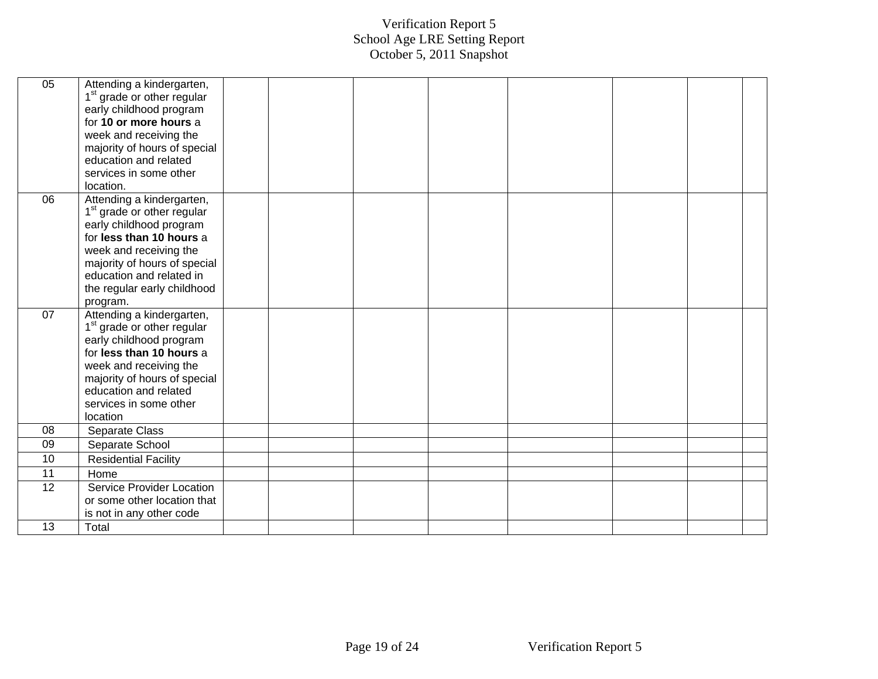| 05 | Attending a kindergarten,              |  |  |  |  |
|----|----------------------------------------|--|--|--|--|
|    | 1 <sup>st</sup> grade or other regular |  |  |  |  |
|    | early childhood program                |  |  |  |  |
|    | for 10 or more hours a                 |  |  |  |  |
|    | week and receiving the                 |  |  |  |  |
|    | majority of hours of special           |  |  |  |  |
|    | education and related                  |  |  |  |  |
|    | services in some other                 |  |  |  |  |
|    | location.                              |  |  |  |  |
| 06 | Attending a kindergarten,              |  |  |  |  |
|    | 1 <sup>st</sup> grade or other regular |  |  |  |  |
|    | early childhood program                |  |  |  |  |
|    | for less than 10 hours a               |  |  |  |  |
|    | week and receiving the                 |  |  |  |  |
|    | majority of hours of special           |  |  |  |  |
|    | education and related in               |  |  |  |  |
|    | the regular early childhood            |  |  |  |  |
|    | program.                               |  |  |  |  |
| 07 | Attending a kindergarten,              |  |  |  |  |
|    | 1 <sup>st</sup> grade or other regular |  |  |  |  |
|    | early childhood program                |  |  |  |  |
|    | for less than 10 hours a               |  |  |  |  |
|    | week and receiving the                 |  |  |  |  |
|    | majority of hours of special           |  |  |  |  |
|    | education and related                  |  |  |  |  |
|    | services in some other                 |  |  |  |  |
|    | location                               |  |  |  |  |
| 08 | Separate Class                         |  |  |  |  |
| 09 | Separate School                        |  |  |  |  |
| 10 | <b>Residential Facility</b>            |  |  |  |  |
| 11 | Home                                   |  |  |  |  |
| 12 | Service Provider Location              |  |  |  |  |
|    | or some other location that            |  |  |  |  |
|    | is not in any other code               |  |  |  |  |
| 13 | Total                                  |  |  |  |  |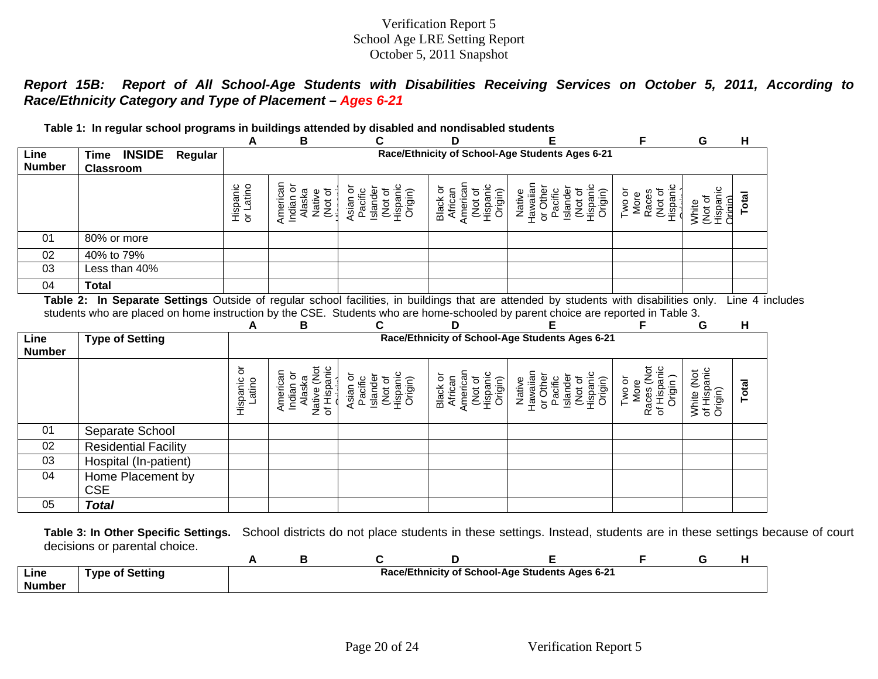*Report 15B: Report of All School-Age Students with Disabilities Receiving Services on October 5, 2011, According to Race/Ethnicity Category and Type of Placement – Ages 6-21*

| Table 1: In regular school programs in buildings attended by disabled and nondisabled students |                                                                                                                                  |                       |                                                               |                                                                   |                                                                   |                                                                                         |                                                        |                                               |       |  |
|------------------------------------------------------------------------------------------------|----------------------------------------------------------------------------------------------------------------------------------|-----------------------|---------------------------------------------------------------|-------------------------------------------------------------------|-------------------------------------------------------------------|-----------------------------------------------------------------------------------------|--------------------------------------------------------|-----------------------------------------------|-------|--|
|                                                                                                |                                                                                                                                  | A                     | В                                                             | С                                                                 | D                                                                 |                                                                                         | F                                                      | G                                             | н     |  |
| Line<br><b>Number</b>                                                                          | Time INSIDE<br>Regular<br><b>Classroom</b>                                                                                       |                       |                                                               |                                                                   |                                                                   | Race/Ethnicity of School-Age Students Ages 6-21                                         |                                                        |                                               |       |  |
|                                                                                                |                                                                                                                                  | Hispanic<br>or Latino | American<br>Indian or<br>Alaska<br>(Not of<br>Native          | Hispanic<br>Asian or<br>Pacific<br>Islander<br>(Not of<br>Origin) | American<br>Hispanic<br>Black or<br>African<br>(Not of<br>Origin) | Hawaiian<br>Hispanic<br>or Other<br>Islander<br>(Not of<br>Pacific<br>Origin)<br>Native | Hispanic<br>Two or<br>Races<br>(Not of<br>More         | (Not of<br>Hispanic<br><b>Origin</b><br>White | Total |  |
| 01                                                                                             | 80% or more                                                                                                                      |                       |                                                               |                                                                   |                                                                   |                                                                                         |                                                        |                                               |       |  |
| 02                                                                                             | 40% to 79%                                                                                                                       |                       |                                                               |                                                                   |                                                                   |                                                                                         |                                                        |                                               |       |  |
| 03                                                                                             | Less than 40%                                                                                                                    |                       |                                                               |                                                                   |                                                                   |                                                                                         |                                                        |                                               |       |  |
| 04                                                                                             | <b>Total</b>                                                                                                                     |                       |                                                               |                                                                   |                                                                   |                                                                                         |                                                        |                                               |       |  |
|                                                                                                | students who are placed on home instruction by the CSE. Students who are home-schooled by parent choice are reported in Table 3. | А                     | в                                                             | С                                                                 | D                                                                 |                                                                                         | F                                                      | G                                             | н     |  |
| Line<br><b>Number</b>                                                                          | <b>Type of Setting</b>                                                                                                           |                       |                                                               |                                                                   |                                                                   | Race/Ethnicity of School-Age Students Ages 6-21                                         |                                                        |                                               |       |  |
|                                                                                                |                                                                                                                                  | Hispanic or<br>Latino | Native (Not<br>of Hispanic<br>American<br>Indian or<br>Alaska | Hispanic<br>Asian or<br>Islander<br>Pacific<br>Not of<br>Origin)  | American<br>Hispanic<br>Black or<br>African<br>(Not of<br>Origin) | Hawaiian<br>(Not of<br>Hispanic<br>or Other<br>Islander<br>Pacific<br>Origin)<br>Native | Races (Not<br>of Hispanic<br>Origin)<br>Two or<br>More | White (Not<br>of Hispanic<br>Origin)          | Total |  |
| 01                                                                                             | Separate School                                                                                                                  |                       |                                                               |                                                                   |                                                                   |                                                                                         |                                                        |                                               |       |  |
| 02                                                                                             | <b>Residential Facility</b>                                                                                                      |                       |                                                               |                                                                   |                                                                   |                                                                                         |                                                        |                                               |       |  |
|                                                                                                |                                                                                                                                  |                       |                                                               |                                                                   |                                                                   |                                                                                         |                                                        |                                               |       |  |
| 03                                                                                             | Hospital (In-patient)                                                                                                            |                       |                                                               |                                                                   |                                                                   |                                                                                         |                                                        |                                               |       |  |
| 04                                                                                             | Home Placement by<br><b>CSE</b>                                                                                                  |                       |                                                               |                                                                   |                                                                   |                                                                                         |                                                        |                                               |       |  |

**Table 3: In Other Specific Settings.** School districts do not place students in these settings. Instead, students are in these settings because of court decisions or parental choice.

| Line<br><b>Number</b> | <b>Type of Setting</b> |  |  | Race/Ethnicity of School-Age Students Ages 6-21 |  |  |
|-----------------------|------------------------|--|--|-------------------------------------------------|--|--|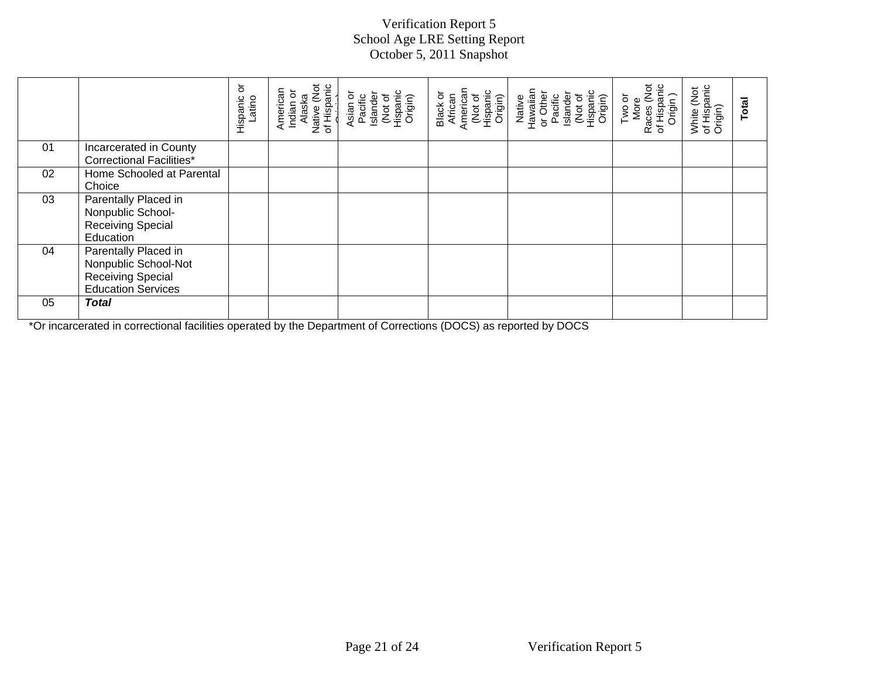|    |                                                                                                       | ŏ<br>Hispanic<br>atino | Native (Not<br>of Hispanic<br>American<br>indian or<br>Alaska | Asian or<br>Pacific<br>Islander<br>(Not of<br>Hispanic<br>Origin) | Hispanic<br>Origin)<br>Black or<br>African<br>American<br>(Not of | Native<br>Hawaiian<br>or Other<br>Pacific<br>(Not of<br>Hispanic<br>Origin)<br>Islander | Races (Not<br>of Hispanic<br>Origin )<br>Two or<br>More | White (Not<br>of Hispanic<br>Origin) | Total |
|----|-------------------------------------------------------------------------------------------------------|------------------------|---------------------------------------------------------------|-------------------------------------------------------------------|-------------------------------------------------------------------|-----------------------------------------------------------------------------------------|---------------------------------------------------------|--------------------------------------|-------|
| 01 | Incarcerated in County<br><b>Correctional Facilities*</b>                                             |                        |                                                               |                                                                   |                                                                   |                                                                                         |                                                         |                                      |       |
| 02 | Home Schooled at Parental<br>Choice                                                                   |                        |                                                               |                                                                   |                                                                   |                                                                                         |                                                         |                                      |       |
| 03 | Parentally Placed in<br>Nonpublic School-<br><b>Receiving Special</b><br>Education                    |                        |                                                               |                                                                   |                                                                   |                                                                                         |                                                         |                                      |       |
| 04 | Parentally Placed in<br>Nonpublic School-Not<br><b>Receiving Special</b><br><b>Education Services</b> |                        |                                                               |                                                                   |                                                                   |                                                                                         |                                                         |                                      |       |
| 05 | <b>Total</b>                                                                                          |                        |                                                               |                                                                   |                                                                   |                                                                                         |                                                         |                                      |       |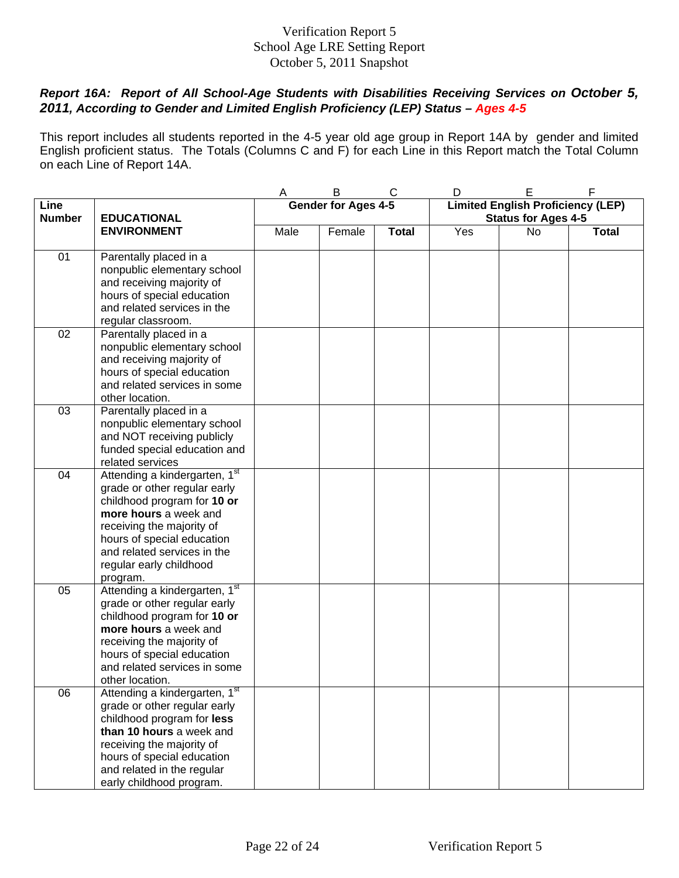## *Report 16A: Report of All School-Age Students with Disabilities Receiving Services on October 5, 2011, According to Gender and Limited English Proficiency (LEP) Status – Ages 4-5*

This report includes all students reported in the 4-5 year old age group in Report 14A by gender and limited English proficient status. The Totals (Columns C and F) for each Line in this Report match the Total Column on each Line of Report 14A.

|               |                                                               | Α    | B                          | C            | D   | E                                        | F            |
|---------------|---------------------------------------------------------------|------|----------------------------|--------------|-----|------------------------------------------|--------------|
| Line          |                                                               |      | <b>Gender for Ages 4-5</b> |              |     | <b>Limited English Proficiency (LEP)</b> |              |
| <b>Number</b> | <b>EDUCATIONAL</b>                                            |      |                            |              |     | <b>Status for Ages 4-5</b>               |              |
|               | <b>ENVIRONMENT</b>                                            | Male | Female                     | <b>Total</b> | Yes | No                                       | <b>Total</b> |
|               |                                                               |      |                            |              |     |                                          |              |
| 01            | Parentally placed in a                                        |      |                            |              |     |                                          |              |
|               | nonpublic elementary school                                   |      |                            |              |     |                                          |              |
|               | and receiving majority of                                     |      |                            |              |     |                                          |              |
|               | hours of special education                                    |      |                            |              |     |                                          |              |
|               | and related services in the                                   |      |                            |              |     |                                          |              |
|               | regular classroom.                                            |      |                            |              |     |                                          |              |
| 02            | Parentally placed in a                                        |      |                            |              |     |                                          |              |
|               | nonpublic elementary school                                   |      |                            |              |     |                                          |              |
|               | and receiving majority of                                     |      |                            |              |     |                                          |              |
|               | hours of special education                                    |      |                            |              |     |                                          |              |
|               | and related services in some                                  |      |                            |              |     |                                          |              |
| 03            | other location.                                               |      |                            |              |     |                                          |              |
|               | Parentally placed in a                                        |      |                            |              |     |                                          |              |
|               | nonpublic elementary school                                   |      |                            |              |     |                                          |              |
|               | and NOT receiving publicly                                    |      |                            |              |     |                                          |              |
|               | funded special education and                                  |      |                            |              |     |                                          |              |
| 04            | related services<br>Attending a kindergarten, 1 <sup>st</sup> |      |                            |              |     |                                          |              |
|               | grade or other regular early                                  |      |                            |              |     |                                          |              |
|               | childhood program for 10 or                                   |      |                            |              |     |                                          |              |
|               | more hours a week and                                         |      |                            |              |     |                                          |              |
|               | receiving the majority of                                     |      |                            |              |     |                                          |              |
|               | hours of special education                                    |      |                            |              |     |                                          |              |
|               | and related services in the                                   |      |                            |              |     |                                          |              |
|               | regular early childhood                                       |      |                            |              |     |                                          |              |
|               | program.                                                      |      |                            |              |     |                                          |              |
| 05            | Attending a kindergarten, 1st                                 |      |                            |              |     |                                          |              |
|               | grade or other regular early                                  |      |                            |              |     |                                          |              |
|               | childhood program for 10 or                                   |      |                            |              |     |                                          |              |
|               | more hours a week and                                         |      |                            |              |     |                                          |              |
|               | receiving the majority of                                     |      |                            |              |     |                                          |              |
|               | hours of special education                                    |      |                            |              |     |                                          |              |
|               | and related services in some                                  |      |                            |              |     |                                          |              |
|               | other location.                                               |      |                            |              |     |                                          |              |
| 06            | Attending a kindergarten, 1 <sup>st</sup>                     |      |                            |              |     |                                          |              |
|               | grade or other regular early                                  |      |                            |              |     |                                          |              |
|               | childhood program for less                                    |      |                            |              |     |                                          |              |
|               | than 10 hours a week and                                      |      |                            |              |     |                                          |              |
|               | receiving the majority of                                     |      |                            |              |     |                                          |              |
|               | hours of special education                                    |      |                            |              |     |                                          |              |
|               | and related in the regular                                    |      |                            |              |     |                                          |              |
|               | early childhood program.                                      |      |                            |              |     |                                          |              |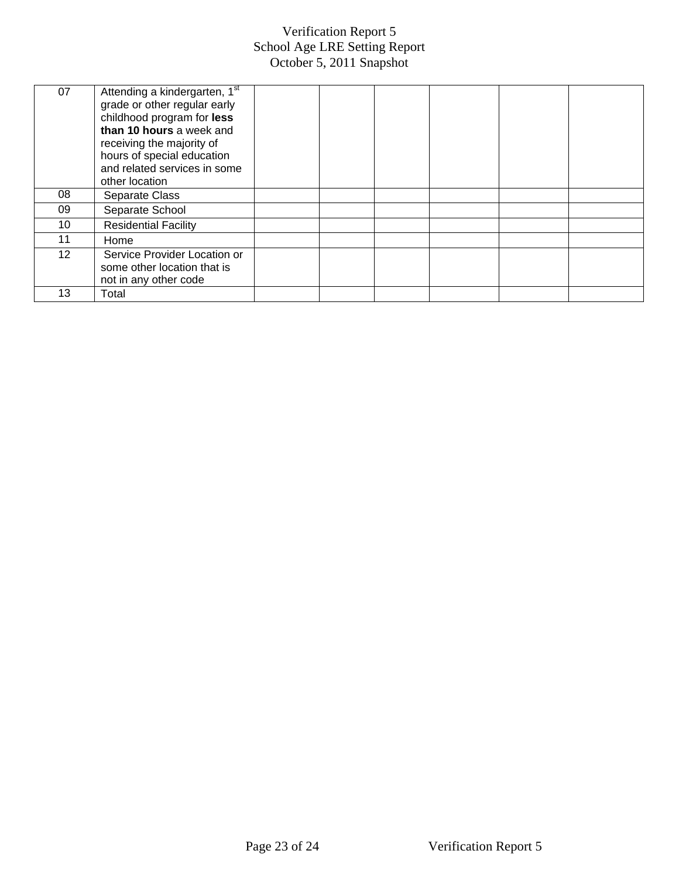| 07      | Attending a kindergarten, 1st<br>grade or other regular early<br>childhood program for less<br>than 10 hours a week and<br>receiving the majority of<br>hours of special education<br>and related services in some<br>other location |  |  |  |
|---------|--------------------------------------------------------------------------------------------------------------------------------------------------------------------------------------------------------------------------------------|--|--|--|
| 08      | Separate Class                                                                                                                                                                                                                       |  |  |  |
| 09      | Separate School                                                                                                                                                                                                                      |  |  |  |
| 10      | <b>Residential Facility</b>                                                                                                                                                                                                          |  |  |  |
| 11      | Home                                                                                                                                                                                                                                 |  |  |  |
| $12 \,$ | Service Provider Location or<br>some other location that is<br>not in any other code                                                                                                                                                 |  |  |  |
| 13      | Total                                                                                                                                                                                                                                |  |  |  |